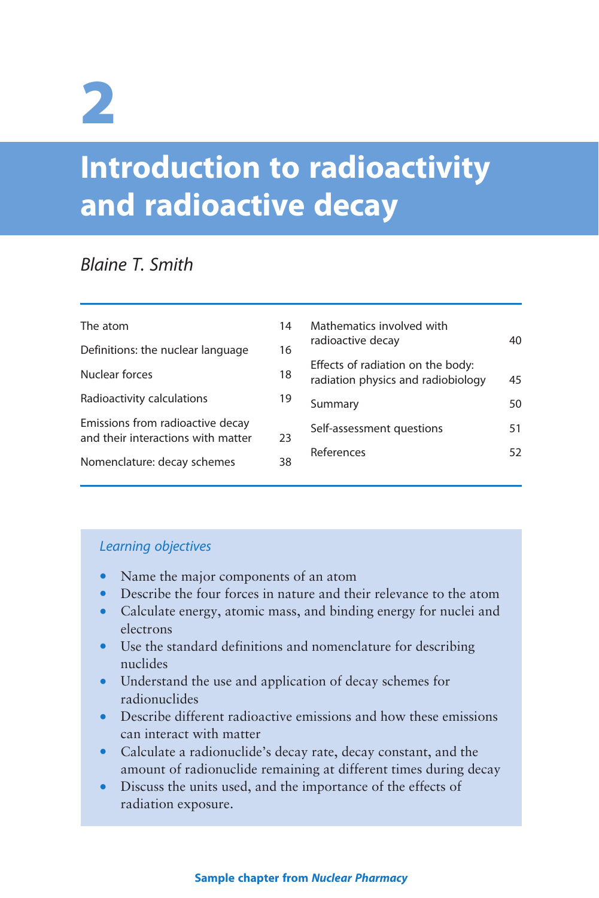# 2

# Introduction to radioactivity and radioactive decay

# Blaine T. Smith

| 14 | Mathematics involved with                                               |                   |
|----|-------------------------------------------------------------------------|-------------------|
| 16 |                                                                         | 40                |
| 18 | Effects of radiation on the body:<br>radiation physics and radiobiology | 45                |
| 19 | Summary                                                                 | 50                |
| 23 | Self-assessment questions                                               | 51                |
| 38 | References                                                              | 52                |
|    |                                                                         | radioactive decay |

# Learning objectives

- Name the major components of an atom
- Describe the four forces in nature and their relevance to the atom
- \* Calculate energy, atomic mass, and binding energy for nuclei and electrons
- Use the standard definitions and nomenclature for describing nuclides
- Understand the use and application of decay schemes for radionuclides
- Describe different radioactive emissions and how these emissions can interact with matter
- Calculate a radionuclide's decay rate, decay constant, and the amount of radionuclide remaining at different times during decay
- \* Discuss the units used, and the importance of the effects of radiation exposure.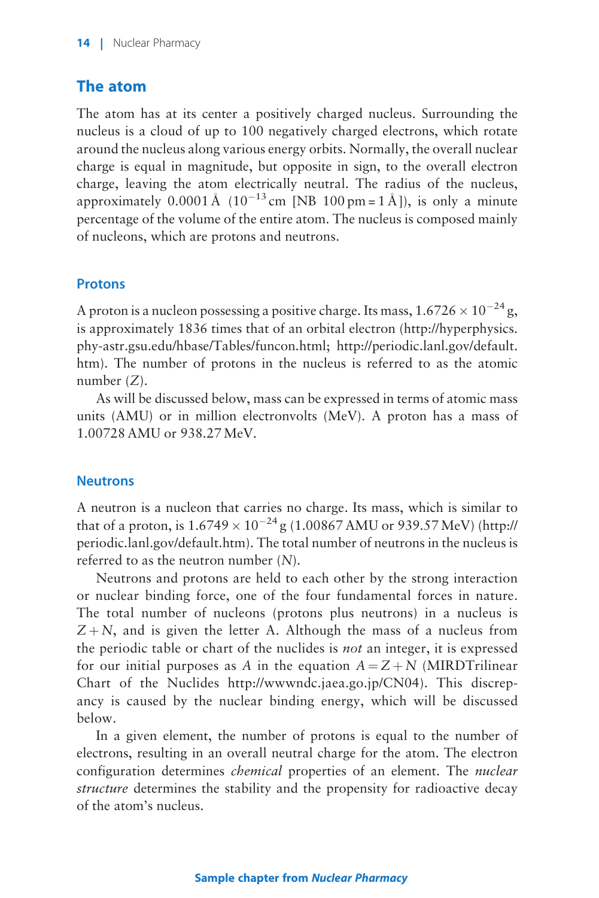# The atom

The atom has at its center a positively charged nucleus. Surrounding the nucleus is a cloud of up to 100 negatively charged electrons, which rotate around the nucleus along various energy orbits. Normally, the overall nuclear charge is equal in magnitude, but opposite in sign, to the overall electron charge, leaving the atom electrically neutral. The radius of the nucleus, approximately 0.0001 Å  $(10^{-13} \text{ cm} \text{ [NB } 100 \text{ pm} = 1 \text{ Å}])$ , is only a minute percentage of the volume of the entire atom. The nucleus is composed mainly of nucleons, which are protons and neutrons.

#### Protons

A proton is a nucleon possessing a positive charge. Its mass,  $1.6726 \times 10^{-24}$  g, is approximately 1836 times that of an orbital electron (http://hyperphysics. phy-astr.gsu.edu/hbase/Tables/funcon.html; http://periodic.lanl.gov/default. htm). The number of protons in the nucleus is referred to as the atomic number  $(Z)$ .

As will be discussed below, mass can be expressed in terms of atomic mass units (AMU) or in million electronvolts (MeV). A proton has a mass of 1.00728 AMU or 938.27MeV.

#### **Neutrons**

A neutron is a nucleon that carries no charge. Its mass, which is similar to that of a proton, is  $1.6749 \times 10^{-24}$  g (1.00867 AMU or 939.57 MeV) (http:// periodic.lanl.gov/default.htm). The total number of neutrons in the nucleus is referred to as the neutron number  $(N)$ .

Neutrons and protons are held to each other by the strong interaction or nuclear binding force, one of the four fundamental forces in nature. The total number of nucleons (protons plus neutrons) in a nucleus is  $Z + N$ , and is given the letter A. Although the mass of a nucleus from the periodic table or chart of the nuclides is not an integer, it is expressed for our initial purposes as A in the equation  $A = Z + N$  (MIRDTrilinear Chart of the Nuclides http://wwwndc.jaea.go.jp/CN04). This discrepancy is caused by the nuclear binding energy, which will be discussed below.

In a given element, the number of protons is equal to the number of electrons, resulting in an overall neutral charge for the atom. The electron configuration determines *chemical* properties of an element. The *nuclear* structure determines the stability and the propensity for radioactive decay of the atom's nucleus.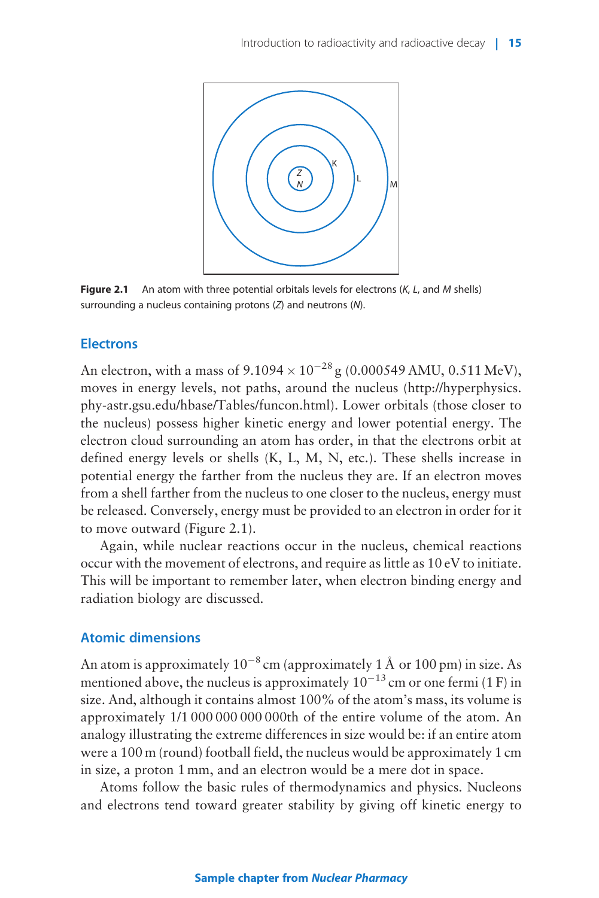

**Figure 2.1** An atom with three potential orbitals levels for electrons  $(K, L, \text{ and } M \text{ shells})$ surrounding a nucleus containing protons (Z) and neutrons (N).

#### **Electrons**

An electron, with a mass of  $9.1094 \times 10^{-28}$  g (0.000549 AMU, 0.511 MeV), moves in energy levels, not paths, around the nucleus (http://hyperphysics. phy-astr.gsu.edu/hbase/Tables/funcon.html). Lower orbitals (those closer to the nucleus) possess higher kinetic energy and lower potential energy. The electron cloud surrounding an atom has order, in that the electrons orbit at defined energy levels or shells (K, L, M, N, etc.). These shells increase in potential energy the farther from the nucleus they are. If an electron moves from a shell farther from the nucleus to one closer to the nucleus, energy must be released. Conversely, energy must be provided to an electron in order for it to move outward (Figure 2.1).

Again, while nuclear reactions occur in the nucleus, chemical reactions occur with the movement of electrons, and require as little as 10 eV to initiate. This will be important to remember later, when electron binding energy and radiation biology are discussed.

#### Atomic dimensions

An atom is approximately  $10^{-8}$  cm (approximately 1 Å or 100 pm) in size. As mentioned above, the nucleus is approximately  $10^{-13}$  cm or one fermi (1 F) in size. And, although it contains almost 100% of the atom's mass, its volume is approximately 1/1 000 000 000 000th of the entire volume of the atom. An analogy illustrating the extreme differences in size would be: if an entire atom were a 100 m (round) football field, the nucleus would be approximately 1 cm in size, a proton 1 mm, and an electron would be a mere dot in space.

Atoms follow the basic rules of thermodynamics and physics. Nucleons and electrons tend toward greater stability by giving off kinetic energy to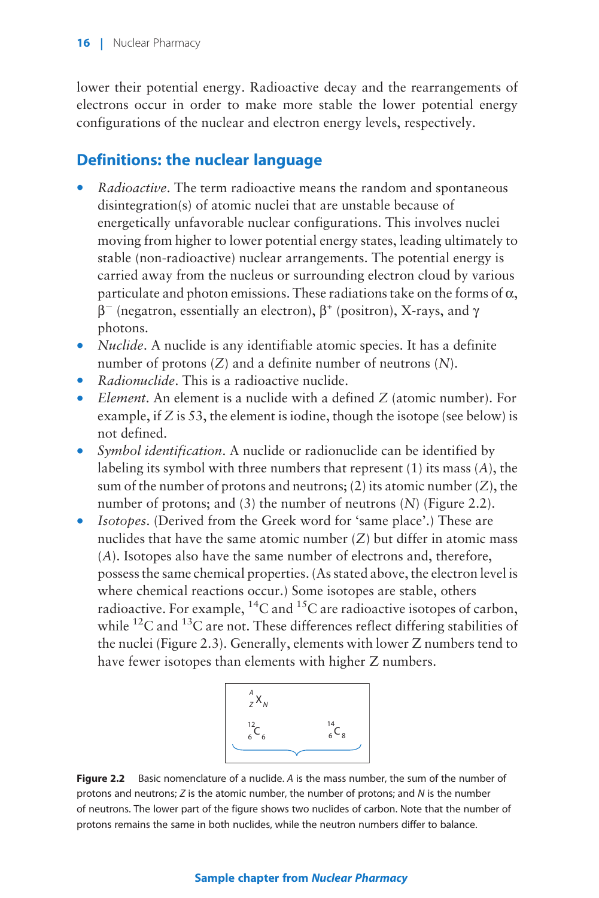lower their potential energy. Radioactive decay and the rearrangements of electrons occur in order to make more stable the lower potential energy configurations of the nuclear and electron energy levels, respectively.

# Definitions: the nuclear language

- Radioactive. The term radioactive means the random and spontaneous disintegration(s) of atomic nuclei that are unstable because of energetically unfavorable nuclear configurations. This involves nuclei moving from higher to lower potential energy states, leading ultimately to stable (non-radioactive) nuclear arrangements. The potential energy is carried away from the nucleus or surrounding electron cloud by various particulate and photon emissions. These radiations take on the forms of  $\alpha$ ,  $\beta$ <sup>-</sup> (negatron, essentially an electron),  $\beta$ <sup>+</sup> (positron), X-rays, and  $\gamma$ photons.
- *Nuclide*. A nuclide is any identifiable atomic species. It has a definite number of protons (Z) and a definite number of neutrons (N).
- Radionuclide. This is a radioactive nuclide.
- $\bullet$  Element. An element is a nuclide with a defined Z (atomic number). For example, if Z is 53, the element is iodine, though the isotope (see below) is not defined.
- Symbol identification. A nuclide or radionuclide can be identified by labeling its symbol with three numbers that represent (1) its mass (A), the sum of the number of protons and neutrons; (2) its atomic number ( $Z$ ), the number of protons; and (3) the number of neutrons (N) (Figure 2.2).
- *Isotopes*. (Derived from the Greek word for 'same place'.) These are nuclides that have the same atomic number  $(Z)$  but differ in atomic mass (A). Isotopes also have the same number of electrons and, therefore, possess the same chemical properties. (As stated above, the electron level is where chemical reactions occur.) Some isotopes are stable, others radioactive. For example,  ${}^{14}C$  and  ${}^{15}C$  are radioactive isotopes of carbon, while <sup>12</sup>C and <sup>13</sup>C are not. These differences reflect differing stabilities of the nuclei ([Figure 2.3\)](#page-4-0). Generally, elements with lower Z numbers tend to have fewer isotopes than elements with higher Z numbers.



Figure 2.2 Basic nomenclature of a nuclide. A is the mass number, the sum of the number of protons and neutrons;  $Z$  is the atomic number, the number of protons; and  $N$  is the number of neutrons. The lower part of the figure shows two nuclides of carbon. Note that the number of protons remains the same in both nuclides, while the neutron numbers differ to balance.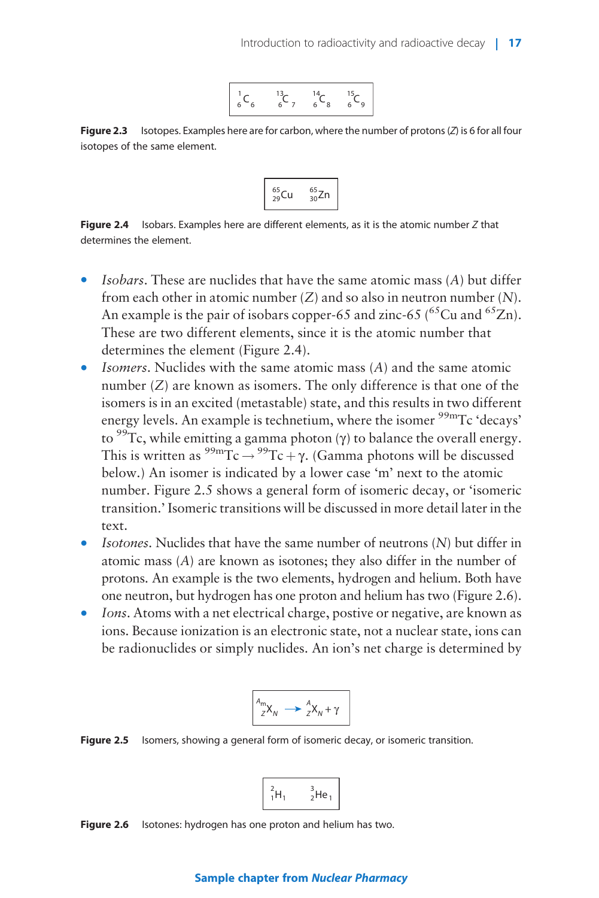

<span id="page-4-0"></span>**Figure 2.3** Isotopes. Examples here are for carbon, where the number of protons (Z) is 6 for all four isotopes of the same element.



Figure 2.4 Isobars. Examples here are different elements, as it is the atomic number  $Z$  that determines the element.

- $\bullet$  Isobars. These are nuclides that have the same atomic mass (A) but differ from each other in atomic number  $(Z)$  and so also in neutron number  $(N)$ . An example is the pair of isobars copper-65 and zinc-65 ( ${}^{65}$ Cu and  ${}^{65}Zn$ ). These are two different elements, since it is the atomic number that determines the element (Figure 2.4).
- Isomers. Nuclides with the same atomic mass  $(A)$  and the same atomic number (Z) are known as isomers. The only difference is that one of the isomers is in an excited (metastable) state, and this results in two different energy levels. An example is technetium, where the isomer <sup>99m</sup>Tc 'decays' to <sup>99</sup>Tc, while emitting a gamma photon  $(\gamma)$  to balance the overall energy. This is written as  $\frac{99 \text{m}}{C} \rightarrow \frac{99 \text{m}}{C} + \gamma$ . (Gamma photons will be discussed below.) An isomer is indicated by a lower case 'm' next to the atomic number. Figure 2.5 shows a general form of isomeric decay, or 'isomeric transition.' Isomeric transitions will be discussed in more detail later in the text.
- *Isotones*. Nuclides that have the same number of neutrons  $(N)$  but differ in atomic mass (A) are known as isotones; they also differ in the number of protons. An example is the two elements, hydrogen and helium. Both have one neutron, but hydrogen has one proton and helium has two (Figure 2.6).
- Ions. Atoms with a net electrical charge, postive or negative, are known as ions. Because ionization is an electronic state, not a nuclear state, ions can be radionuclides or simply nuclides. An ion's net charge is determined by

$$
\begin{cases} A_{m} \\ Z \mathsf{X}_{N} \end{cases} \longrightarrow \begin{cases} A \\ Z \mathsf{X}_{N} + \gamma \end{cases}
$$





Figure 2.6 Isotones: hydrogen has one proton and helium has two.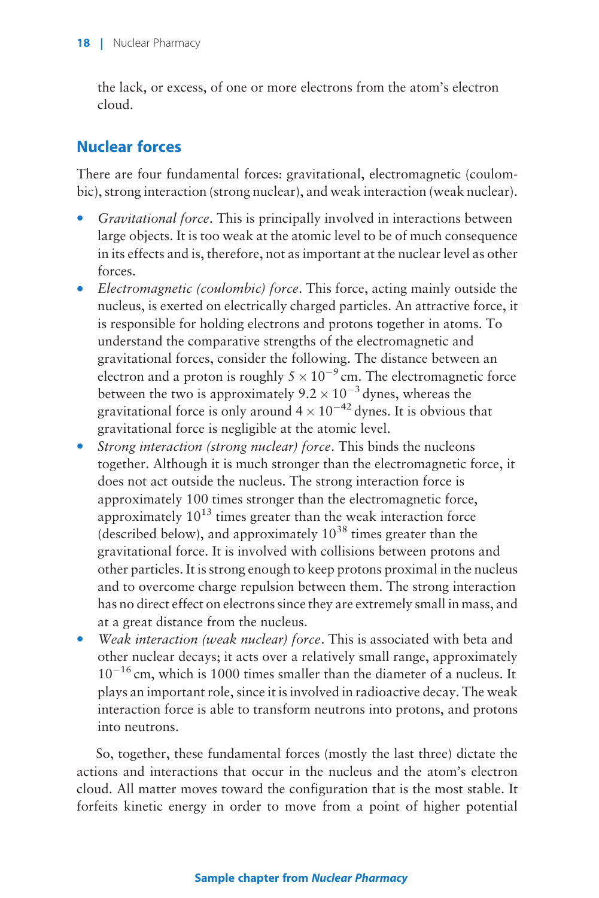the lack, or excess, of one or more electrons from the atom's electron cloud.

# Nuclear forces

There are four fundamental forces: gravitational, electromagnetic (coulombic), strong interaction (strong nuclear), and weak interaction (weak nuclear).

- Gravitational force. This is principally involved in interactions between large objects. It is too weak at the atomic level to be of much consequence in its effects and is, therefore, not as important at the nuclear level as other forces.
- Electromagnetic (coulombic) force. This force, acting mainly outside the nucleus, is exerted on electrically charged particles. An attractive force, it is responsible for holding electrons and protons together in atoms. To understand the comparative strengths of the electromagnetic and gravitational forces, consider the following. The distance between an electron and a proton is roughly  $5 \times 10^{-9}$  cm. The electromagnetic force between the two is approximately  $9.2 \times 10^{-3}$  dynes, whereas the gravitational force is only around  $4 \times 10^{-42}$  dynes. It is obvious that gravitational force is negligible at the atomic level.
- Strong interaction (strong nuclear) force. This binds the nucleons together. Although it is much stronger than the electromagnetic force, it does not act outside the nucleus. The strong interaction force is approximately 100 times stronger than the electromagnetic force, approximately  $10^{13}$  times greater than the weak interaction force (described below), and approximately  $10^{38}$  times greater than the gravitational force. It is involved with collisions between protons and other particles. It is strong enough to keep protons proximal in the nucleus and to overcome charge repulsion between them. The strong interaction has no direct effect on electrons since they are extremely small in mass, and at a great distance from the nucleus.
- Weak interaction (weak nuclear) force. This is associated with beta and other nuclear decays; it acts over a relatively small range, approximately  $10^{-16}$  cm, which is 1000 times smaller than the diameter of a nucleus. It plays an important role, since it is involved in radioactive decay. The weak interaction force is able to transform neutrons into protons, and protons into neutrons.

So, together, these fundamental forces (mostly the last three) dictate the actions and interactions that occur in the nucleus and the atom's electron cloud. All matter moves toward the configuration that is the most stable. It forfeits kinetic energy in order to move from a point of higher potential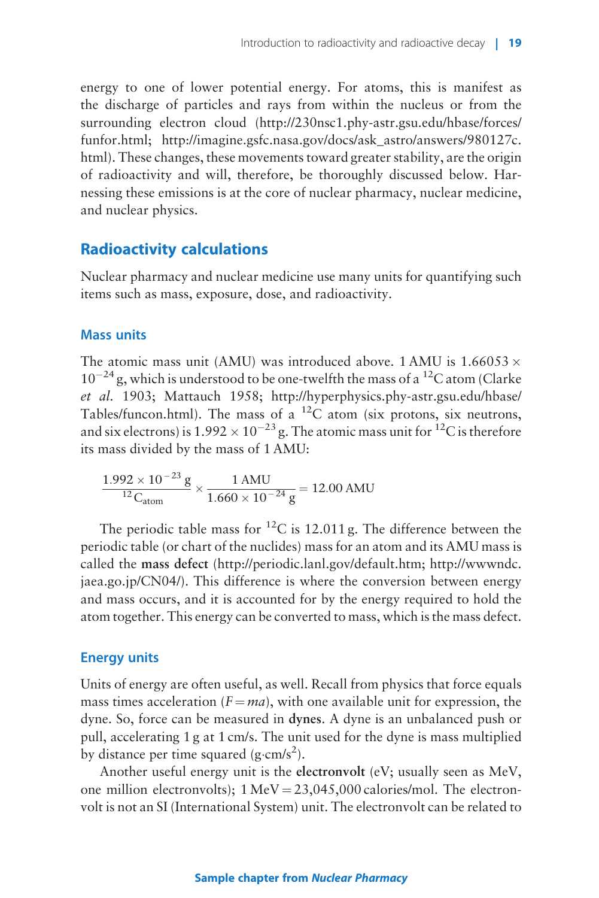energy to one of lower potential energy. For atoms, this is manifest as the discharge of particles and rays from within the nucleus or from the surrounding electron cloud (http://230nsc1.phy-astr.gsu.edu/hbase/forces/ funfor.html; http://imagine.gsfc.nasa.gov/docs/ask\_astro/answers/980127c. html). These changes, these movements toward greater stability, are the origin of radioactivity and will, therefore, be thoroughly discussed below. Harnessing these emissions is at the core of nuclear pharmacy, nuclear medicine, and nuclear physics.

# Radioactivity calculations

Nuclear pharmacy and nuclear medicine use many units for quantifying such items such as mass, exposure, dose, and radioactivity.

# Mass units

The atomic mass unit (AMU) was introduced above. 1 AMU is  $1.66053 \times$  $10^{-24}$  g, which is understood to be one-twelfth the mass of a <sup>12</sup>C atom ([Clarke](#page-39-0) [et al.](#page-39-0) 1903; [Mattauch 1958;](#page-39-0) http://hyperphysics.phy-astr.gsu.edu/hbase/ Tables/funcon.html). The mass of a  $^{12}$ C atom (six protons, six neutrons, and six electrons) is  $1.992 \times 10^{-23}$  g. The atomic mass unit for <sup>12</sup>C is therefore its mass divided by the mass of 1 AMU:

$$
\frac{1.992 \times 10^{-23} \text{ g}}{^{12} \text{C}_{\text{atom}}} \times \frac{1 \text{ AMU}}{1.660 \times 10^{-24} \text{ g}} = 12.00 \text{ AMU}
$$

The periodic table mass for  $^{12}$ C is 12.011 g. The difference between the periodic table (or chart of the nuclides) mass for an atom and its AMU mass is called the mass defect (http://periodic.lanl.gov/default.htm; http://wwwndc. jaea.go.jp/CN04/). This difference is where the conversion between energy and mass occurs, and it is accounted for by the energy required to hold the atom together. This energy can be converted to mass, which is the mass defect.

# Energy units

Units of energy are often useful, as well. Recall from physics that force equals mass times acceleration  $(F = ma)$ , with one available unit for expression, the dyne. So, force can be measured in dynes. A dyne is an unbalanced push or pull, accelerating 1 g at 1 cm/s. The unit used for the dyne is mass multiplied by distance per time squared  $(g\cdot cm/s^2)$ .

Another useful energy unit is the electronvolt (eV; usually seen as MeV, one million electronvolts);  $1 \text{ MeV} = 23,045,000 \text{ calories/mol}$ . The electronvolt is not an SI (International System) unit. The electronvolt can be related to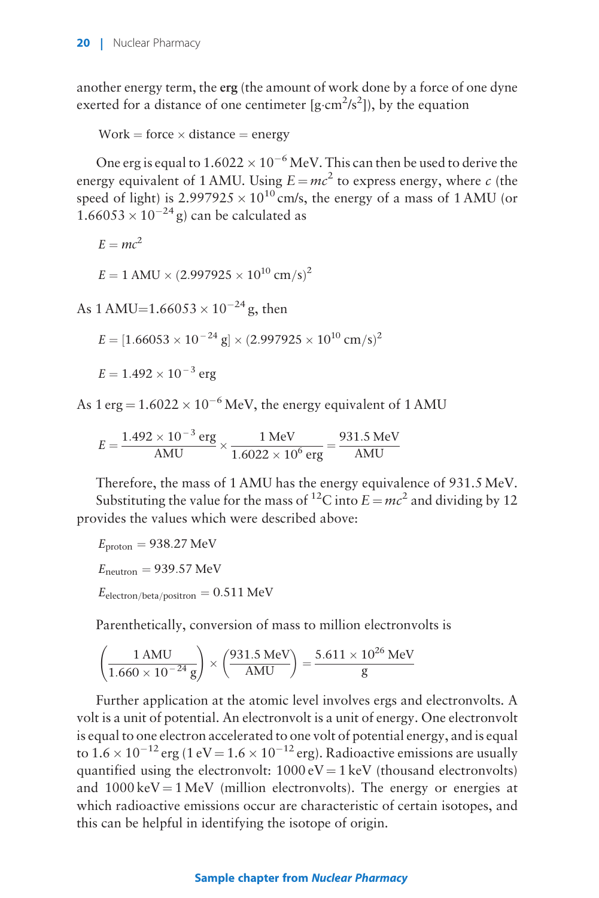another energy term, the erg (the amount of work done by a force of one dyne exerted for a distance of one centimeter  $[g\text{-cm}^2/\text{s}^2]$ ), by the equation

```
Work = force \times distance = energy
```
One erg is equal to  $1.6022 \times 10^{-6}$  MeV. This can then be used to derive the energy equivalent of 1 AMU. Using  $E = mc^2$  to express energy, where c (the speed of light) is  $2.997925 \times 10^{10}$  cm/s, the energy of a mass of 1 AMU (or  $1.66053 \times 10^{-24}$  g) can be calculated as

$$
E = mc^2
$$
  

$$
E = 1 \text{ AMU} \times (2.997925 \times 10^{10} \text{ cm/s})^2
$$

As  $1 \text{ AMU} = 1.66053 \times 10^{-24} \text{ g}$ , then

$$
E = [1.66053 \times 10^{-24} \text{ g}] \times (2.997925 \times 10^{10} \text{ cm/s})^2
$$

 $E = 1.492 \times 10^{-3}$  erg

As  $1 \text{ erg} = 1.6022 \times 10^{-6} \text{ MeV}$ , the energy equivalent of 1 AMU

$$
E = \frac{1.492 \times 10^{-3} \text{ erg}}{\text{AMU}} \times \frac{1 \text{ MeV}}{1.6022 \times 10^6 \text{ erg}} = \frac{931.5 \text{ MeV}}{\text{AMU}}
$$

Therefore, the mass of 1 AMU has the energy equivalence of 931.5 MeV. Substituting the value for the mass of <sup>12</sup>C into  $E = mc^2$  and dividing by 12 provides the values which were described above:

$$
E_{\text{proton}} = 938.27 \text{ MeV}
$$
  

$$
E_{\text{neutron}} = 939.57 \text{ MeV}
$$
  

$$
E_{\text{electron/beta/postron}} = 0.511 \text{ MeV}
$$

Parenthetically, conversion of mass to million electronvolts is

$$
\left(\frac{1 \text{ AMU}}{1.660 \times 10^{-24} \text{ g}}\right) \times \left(\frac{931.5 \text{ MeV}}{\text{AMU}}\right) = \frac{5.611 \times 10^{26} \text{ MeV}}{\text{g}}
$$

Further application at the atomic level involves ergs and electronvolts. A volt is a unit of potential. An electronvolt is a unit of energy. One electronvolt is equal to one electron accelerated to one volt of potential energy, and is equal to  $1.6 \times 10^{-12}$  erg (1 eV =  $1.6 \times 10^{-12}$  erg). Radioactive emissions are usually quantified using the electronvolt:  $1000 \text{ eV} = 1 \text{ keV}$  (thousand electronvolts) and  $1000 \text{ keV} = 1 \text{ MeV}$  (million electronvolts). The energy or energies at which radioactive emissions occur are characteristic of certain isotopes, and this can be helpful in identifying the isotope of origin.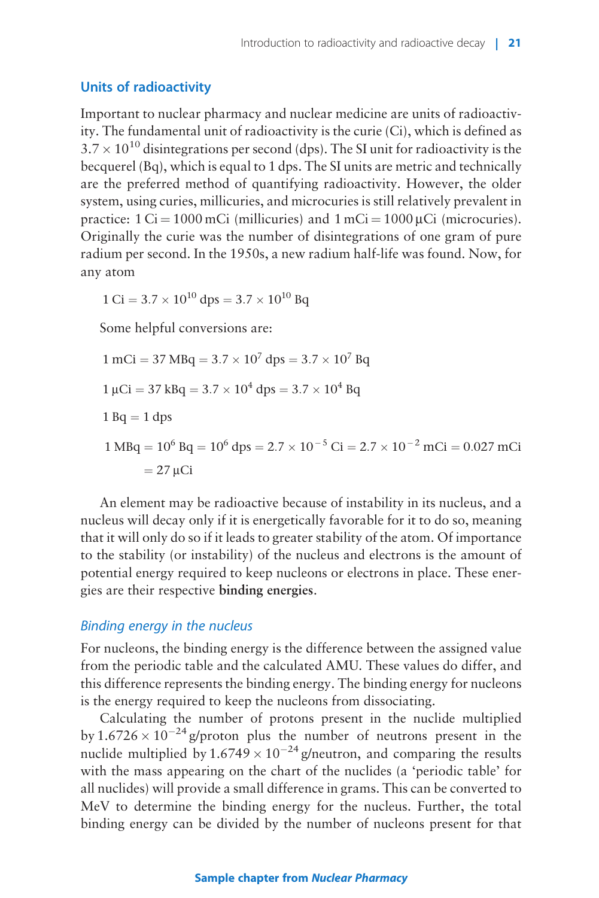#### Units of radioactivity

Important to nuclear pharmacy and nuclear medicine are units of radioactivity. The fundamental unit of radioactivity is the curie (Ci), which is defined as  $3.7 \times 10^{10}$  disintegrations per second (dps). The SI unit for radioactivity is the becquerel (Bq), which is equal to 1 dps. The SI units are metric and technically are the preferred method of quantifying radioactivity. However, the older system, using curies, millicuries, and microcuries is still relatively prevalent in practice:  $1 \text{ Ci} = 1000 \text{ mCi}$  (millicuries) and  $1 \text{ mCi} = 1000 \text{ µCi}$  (microcuries). Originally the curie was the number of disintegrations of one gram of pure radium per second. In the 1950s, a new radium half-life was found. Now, for any atom

$$
1 \text{ Ci} = 3.7 \times 10^{10} \text{ dps} = 3.7 \times 10^{10} \text{ Bq}
$$

Some helpful conversions are:

 $1 \text{ mCi} = 37 \text{ MBq} = 3.7 \times 10^7 \text{ dyn} = 3.7 \times 10^7 \text{ Bq}$  $1 \mu\text{Ci} = 37 \text{ kBq} = 3.7 \times 10^4 \text{ dps} = 3.7 \times 10^4 \text{ Bq}$  $1$  Bq = 1 dps  $1 \text{ MBq} = 10^6 \text{ Bq} = 10^6 \text{ dps} = 2.7 \times 10^{-5} \text{ Ci} = 2.7 \times 10^{-2} \text{ mCi} = 0.027 \text{ mCi}$  $= 27 \mu$ Ci

An element may be radioactive because of instability in its nucleus, and a nucleus will decay only if it is energetically favorable for it to do so, meaning that it will only do so if it leads to greater stability of the atom. Of importance to the stability (or instability) of the nucleus and electrons is the amount of potential energy required to keep nucleons or electrons in place. These energies are their respective binding energies.

#### Binding energy in the nucleus

For nucleons, the binding energy is the difference between the assigned value from the periodic table and the calculated AMU. These values do differ, and this difference represents the binding energy. The binding energy for nucleons is the energy required to keep the nucleons from dissociating.

Calculating the number of protons present in the nuclide multiplied by  $1.6726 \times 10^{-24}$  g/proton plus the number of neutrons present in the nuclide multiplied by  $1.6749 \times 10^{-24}$  g/neutron, and comparing the results with the mass appearing on the chart of the nuclides (a 'periodic table' for all nuclides) will provide a small difference in grams. This can be converted to MeV to determine the binding energy for the nucleus. Further, the total binding energy can be divided by the number of nucleons present for that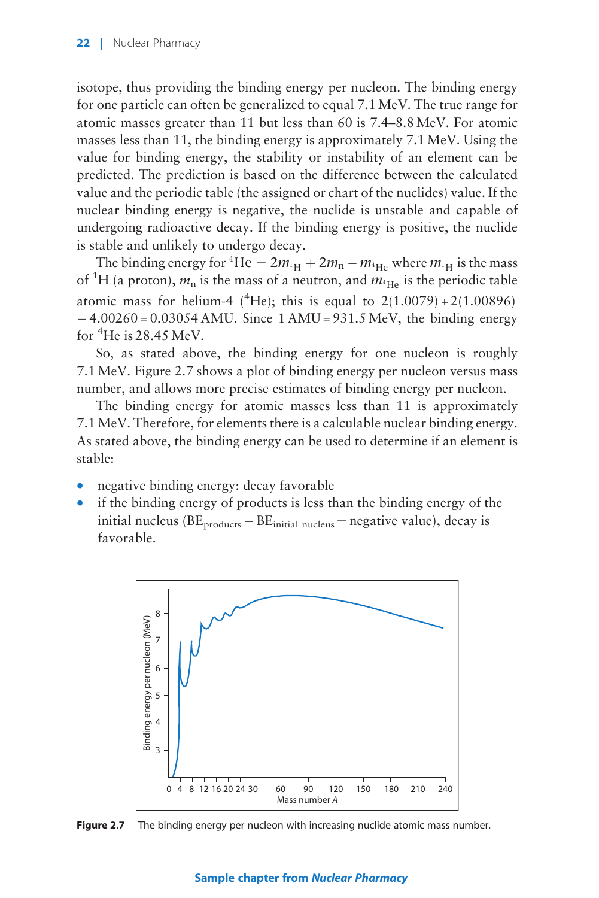isotope, thus providing the binding energy per nucleon. The binding energy for one particle can often be generalized to equal 7.1 MeV. The true range for atomic masses greater than 11 but less than 60 is 7.4–8.8MeV. For atomic masses less than 11, the binding energy is approximately 7.1 MeV. Using the value for binding energy, the stability or instability of an element can be predicted. The prediction is based on the difference between the calculated value and the periodic table (the assigned or chart of the nuclides) value. If the nuclear binding energy is negative, the nuclide is unstable and capable of undergoing radioactive decay. If the binding energy is positive, the nuclide is stable and unlikely to undergo decay.

The binding energy for <sup>4</sup>He =  $2m_H + 2m_n - m_{{}^4\text{He}}$  where  $m_H$  is the mass of <sup>1</sup>H (a proton),  $m_n$  is the mass of a neutron, and  $m_{^4\text{He}}$  is the periodic table atomic mass for helium-4 (<sup>4</sup>He); this is equal to  $2(1.0079) + 2(1.00896)$  $-4.00260 = 0.03054$  AMU. Since 1 AMU = 931.5 MeV, the binding energy for  ${}^{4}$ He is 28.45 MeV.

So, as stated above, the binding energy for one nucleon is roughly 7.1 MeV. Figure 2.7 shows a plot of binding energy per nucleon versus mass number, and allows more precise estimates of binding energy per nucleon.

The binding energy for atomic masses less than 11 is approximately 7.1 MeV. Therefore, for elements there is a calculable nuclear binding energy. As stated above, the binding energy can be used to determine if an element is stable:

- negative binding energy: decay favorable
- if the binding energy of products is less than the binding energy of the initial nucleus ( $BE_{\text{products}} - BE_{\text{initial nucleus}} =$  negative value), decay is favorable.



**Figure 2.7** The binding energy per nucleon with increasing nuclide atomic mass number.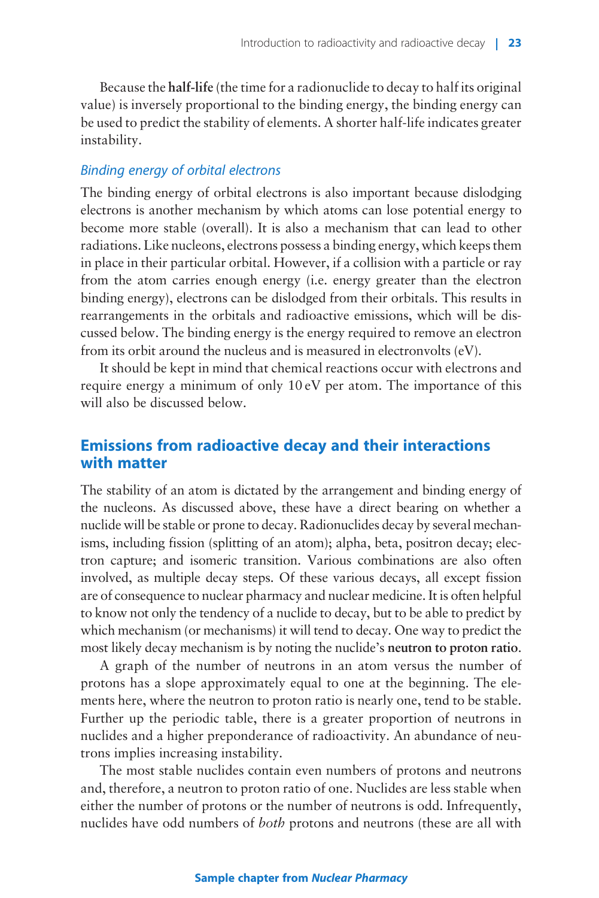Because the half-life (the time for a radionuclide to decay to half its original value) is inversely proportional to the binding energy, the binding energy can be used to predict the stability of elements. A shorter half-life indicates greater instability.

# Binding energy of orbital electrons

The binding energy of orbital electrons is also important because dislodging electrons is another mechanism by which atoms can lose potential energy to become more stable (overall). It is also a mechanism that can lead to other radiations. Like nucleons, electrons possess a binding energy, which keeps them in place in their particular orbital. However, if a collision with a particle or ray from the atom carries enough energy (i.e. energy greater than the electron binding energy), electrons can be dislodged from their orbitals. This results in rearrangements in the orbitals and radioactive emissions, which will be discussed below. The binding energy is the energy required to remove an electron from its orbit around the nucleus and is measured in electronvolts (eV).

It should be kept in mind that chemical reactions occur with electrons and require energy a minimum of only 10 eV per atom. The importance of this will also be discussed below.

# Emissions from radioactive decay and their interactions with matter

The stability of an atom is dictated by the arrangement and binding energy of the nucleons. As discussed above, these have a direct bearing on whether a nuclide will be stable or prone to decay. Radionuclides decay by several mechanisms, including fission (splitting of an atom); alpha, beta, positron decay; electron capture; and isomeric transition. Various combinations are also often involved, as multiple decay steps. Of these various decays, all except fission are of consequence to nuclear pharmacy and nuclear medicine. It is often helpful to know not only the tendency of a nuclide to decay, but to be able to predict by which mechanism (or mechanisms) it will tend to decay. One way to predict the most likely decay mechanism is by noting the nuclide's neutron to proton ratio.

A graph of the number of neutrons in an atom versus the number of protons has a slope approximately equal to one at the beginning. The elements here, where the neutron to proton ratio is nearly one, tend to be stable. Further up the periodic table, there is a greater proportion of neutrons in nuclides and a higher preponderance of radioactivity. An abundance of neutrons implies increasing instability.

The most stable nuclides contain even numbers of protons and neutrons and, therefore, a neutron to proton ratio of one. Nuclides are less stable when either the number of protons or the number of neutrons is odd. Infrequently, nuclides have odd numbers of both protons and neutrons (these are all with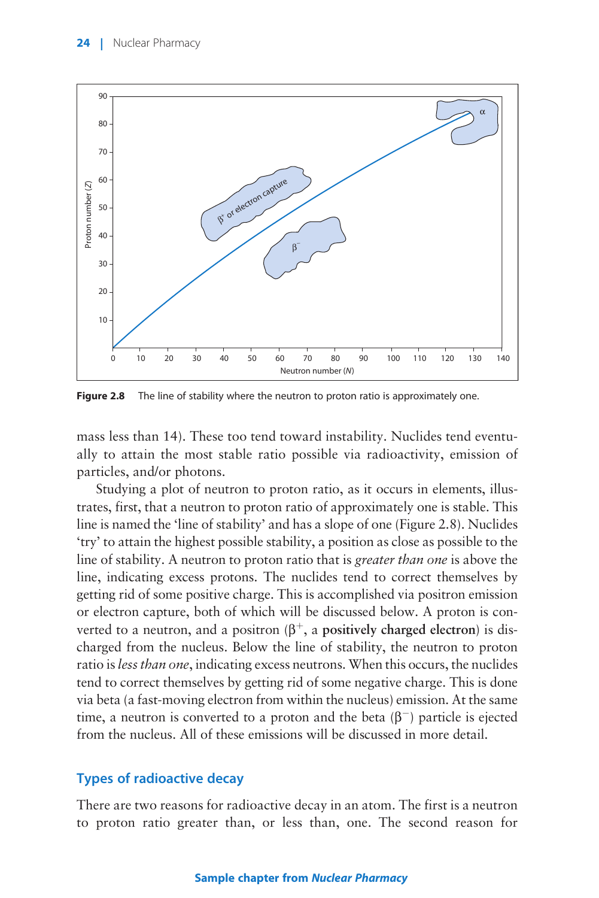<span id="page-11-0"></span>

Figure 2.8 The line of stability where the neutron to proton ratio is approximately one.

mass less than 14). These too tend toward instability. Nuclides tend eventually to attain the most stable ratio possible via radioactivity, emission of particles, and/or photons.

Studying a plot of neutron to proton ratio, as it occurs in elements, illustrates, first, that a neutron to proton ratio of approximately one is stable. This line is named the 'line of stability' and has a slope of one (Figure 2.8). Nuclides 'try' to attain the highest possible stability, a position as close as possible to the line of stability. A neutron to proton ratio that is greater than one is above the line, indicating excess protons. The nuclides tend to correct themselves by getting rid of some positive charge. This is accomplished via positron emission or electron capture, both of which will be discussed below. A proton is converted to a neutron, and a positron  $(\beta^+, a$  positively charged electron) is discharged from the nucleus. Below the line of stability, the neutron to proton ratio is *less than one*, indicating excess neutrons. When this occurs, the nuclides tend to correct themselves by getting rid of some negative charge. This is done via beta (a fast-moving electron from within the nucleus) emission. At the same time, a neutron is converted to a proton and the beta  $(\beta^-)$  particle is ejected from the nucleus. All of these emissions will be discussed in more detail.

# Types of radioactive decay

There are two reasons for radioactive decay in an atom. The first is a neutron to proton ratio greater than, or less than, one. The second reason for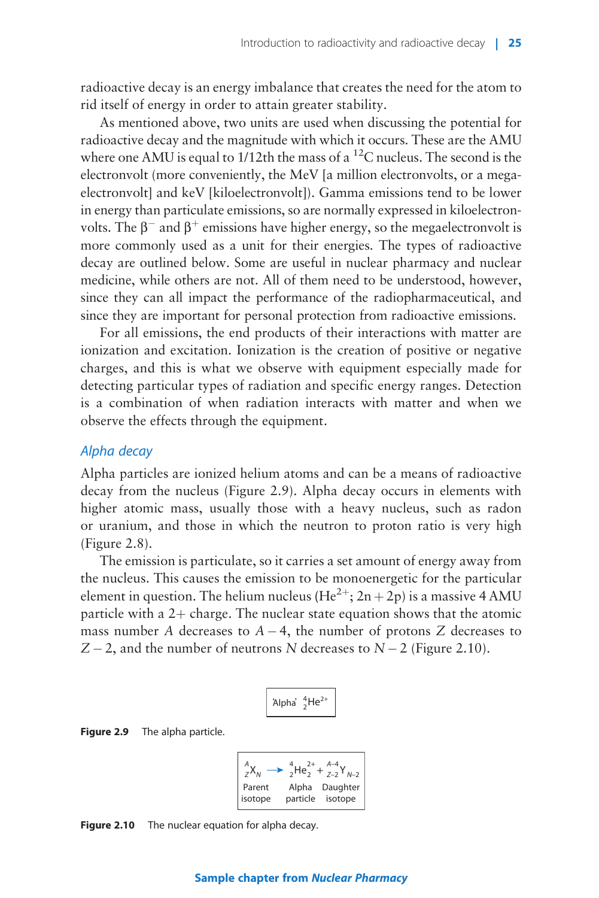radioactive decay is an energy imbalance that creates the need for the atom to rid itself of energy in order to attain greater stability.

As mentioned above, two units are used when discussing the potential for radioactive decay and the magnitude with which it occurs. These are the AMU where one AMU is equal to  $1/12$ th the mass of a  $^{12}$ C nucleus. The second is the electronvolt (more conveniently, the MeV [a million electronvolts, or a megaelectronvolt] and keV [kiloelectronvolt]). Gamma emissions tend to be lower in energy than particulate emissions, so are normally expressed in kiloelectronvolts. The  $\beta^-$  and  $\beta^+$  emissions have higher energy, so the megaelectronvolt is more commonly used as a unit for their energies. The types of radioactive decay are outlined below. Some are useful in nuclear pharmacy and nuclear medicine, while others are not. All of them need to be understood, however, since they can all impact the performance of the radiopharmaceutical, and since they are important for personal protection from radioactive emissions.

For all emissions, the end products of their interactions with matter are ionization and excitation. Ionization is the creation of positive or negative charges, and this is what we observe with equipment especially made for detecting particular types of radiation and specific energy ranges. Detection is a combination of when radiation interacts with matter and when we observe the effects through the equipment.

# Alpha decay

Alpha particles are ionized helium atoms and can be a means of radioactive decay from the nucleus (Figure 2.9). Alpha decay occurs in elements with higher atomic mass, usually those with a heavy nucleus, such as radon or uranium, and those in which the neutron to proton ratio is very high ([Figure 2.8\)](#page-11-0).

The emission is particulate, so it carries a set amount of energy away from the nucleus. This causes the emission to be monoenergetic for the particular element in question. The helium nucleus (He<sup>2+</sup>; 2n + 2p) is a massive 4 AMU particle with a  $2+$  charge. The nuclear state equation shows that the atomic mass number A decreases to  $A - 4$ , the number of protons Z decreases to  $Z - 2$ , and the number of neutrons N decreases to  $N - 2$  (Figure 2.10).

$$
^{Alpha'}\, {}_2^{4}He^{2+}
$$

Figure 2.9 The alpha particle.



Figure 2.10 The nuclear equation for alpha decay.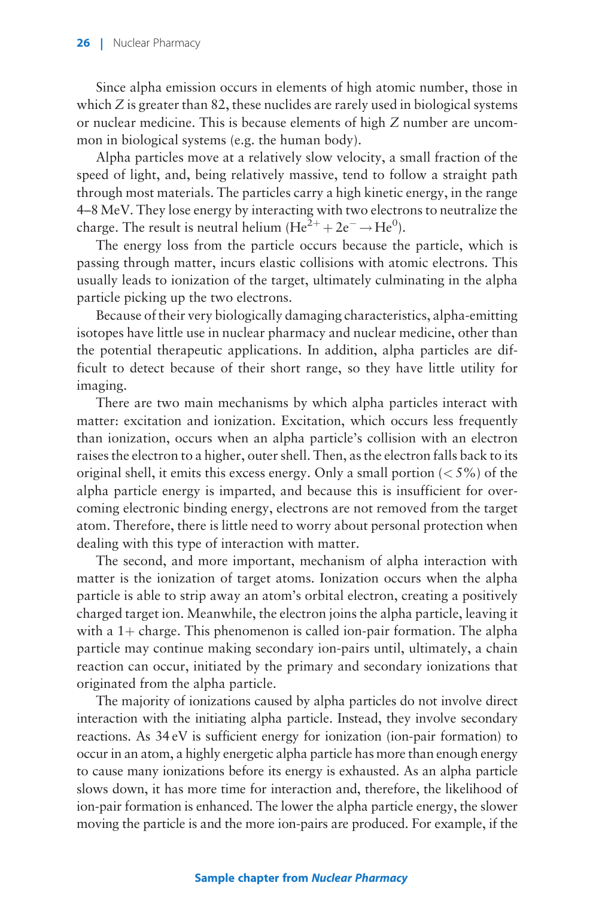Since alpha emission occurs in elements of high atomic number, those in which Z is greater than 82, these nuclides are rarely used in biological systems or nuclear medicine. This is because elements of high Z number are uncommon in biological systems (e.g. the human body).

Alpha particles move at a relatively slow velocity, a small fraction of the speed of light, and, being relatively massive, tend to follow a straight path through most materials. The particles carry a high kinetic energy, in the range 4–8 MeV. They lose energy by interacting with two electrons to neutralize the charge. The result is neutral helium  $(He^{2+} + 2e^- \rightarrow He^0)$ .

The energy loss from the particle occurs because the particle, which is passing through matter, incurs elastic collisions with atomic electrons. This usually leads to ionization of the target, ultimately culminating in the alpha particle picking up the two electrons.

Because of their very biologically damaging characteristics, alpha-emitting isotopes have little use in nuclear pharmacy and nuclear medicine, other than the potential therapeutic applications. In addition, alpha particles are difficult to detect because of their short range, so they have little utility for imaging.

There are two main mechanisms by which alpha particles interact with matter: excitation and ionization. Excitation, which occurs less frequently than ionization, occurs when an alpha particle's collision with an electron raises the electron to a higher, outer shell. Then, as the electron falls back to its original shell, it emits this excess energy. Only a small portion  $(< 5\%$ ) of the alpha particle energy is imparted, and because this is insufficient for overcoming electronic binding energy, electrons are not removed from the target atom. Therefore, there is little need to worry about personal protection when dealing with this type of interaction with matter.

The second, and more important, mechanism of alpha interaction with matter is the ionization of target atoms. Ionization occurs when the alpha particle is able to strip away an atom's orbital electron, creating a positively charged target ion. Meanwhile, the electron joins the alpha particle, leaving it with a  $1+$  charge. This phenomenon is called ion-pair formation. The alpha particle may continue making secondary ion-pairs until, ultimately, a chain reaction can occur, initiated by the primary and secondary ionizations that originated from the alpha particle.

The majority of ionizations caused by alpha particles do not involve direct interaction with the initiating alpha particle. Instead, they involve secondary reactions. As 34 eV is sufficient energy for ionization (ion-pair formation) to occur in an atom, a highly energetic alpha particle has more than enough energy to cause many ionizations before its energy is exhausted. As an alpha particle slows down, it has more time for interaction and, therefore, the likelihood of ion-pair formation is enhanced. The lower the alpha particle energy, the slower moving the particle is and the more ion-pairs are produced. For example, if the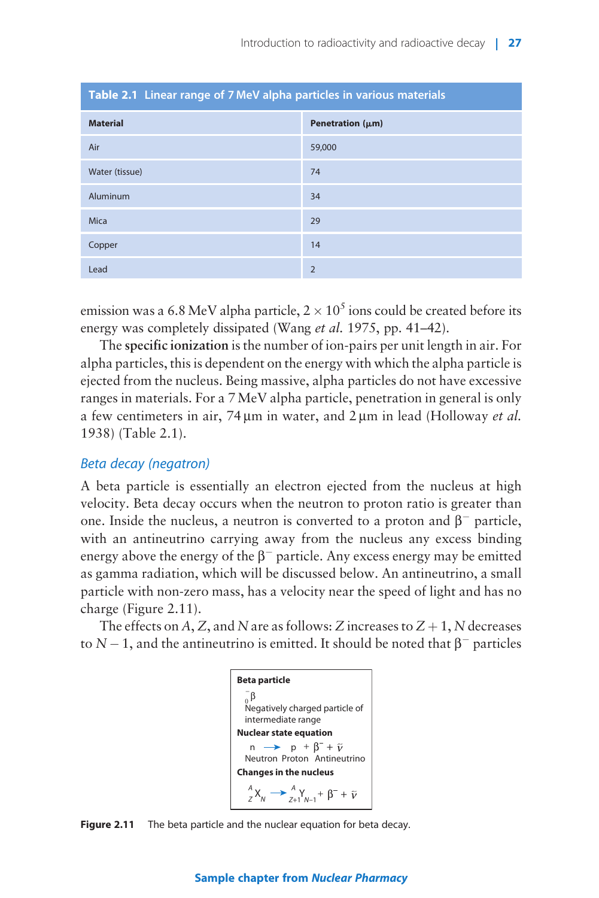| Table 2.1 Linear range of 7 MeV alpha particles in various materials |                       |  |
|----------------------------------------------------------------------|-----------------------|--|
| <b>Material</b>                                                      | Penetration $(\mu m)$ |  |
| Air                                                                  | 59,000                |  |
| Water (tissue)                                                       | 74                    |  |
| Aluminum                                                             | 34                    |  |
| Mica                                                                 | 29                    |  |
| Copper                                                               | 14                    |  |
| Lead                                                                 | $\overline{2}$        |  |

emission was a 6.8 MeV alpha particle,  $2 \times 10^5$  ions could be created before its energy was completely dissipated (Wang et al[. 1975,](#page-39-0) pp. 41–42).

The specific ionization is the number of ion-pairs per unit length in air. For alpha particles, this is dependent on the energy with which the alpha particle is ejected from the nucleus. Being massive, alpha particles do not have excessive ranges in materials. For a 7 MeV alpha particle, penetration in general is only a few centimeters in air,  $74 \mu m$  in water, and  $2 \mu m$  in lead (Holloway *et al.*) 1938) (Table 2.1).

#### Beta decay (negatron)

A beta particle is essentially an electron ejected from the nucleus at high velocity. Beta decay occurs when the neutron to proton ratio is greater than one. Inside the nucleus, a neutron is converted to a proton and  $\beta^-$  particle, with an antineutrino carrying away from the nucleus any excess binding energy above the energy of the  $\beta^-$  particle. Any excess energy may be emitted as gamma radiation, which will be discussed below. An antineutrino, a small particle with non-zero mass, has a velocity near the speed of light and has no charge (Figure 2.11).

The effects on A, Z, and N are as follows: Z increases to  $Z + 1$ , N decreases to  $N - 1$ , and the antineutrino is emitted. It should be noted that  $\beta^-$  particles

| <b>Beta particle</b>                                                                        |  |  |
|---------------------------------------------------------------------------------------------|--|--|
| $_0$ $\beta$                                                                                |  |  |
| Negatively charged particle of<br>intermediate range                                        |  |  |
| <b>Nuclear state equation</b>                                                               |  |  |
| $n \rightarrow p + \beta + \tilde{\nu}$<br>Neutron Proton Antineutrino                      |  |  |
| <b>Changes in the nucleus</b>                                                               |  |  |
| $\sum_{\tau}^{A} X_{N} \longrightarrow \sum_{\tau+1}^{A} Y_{N-1} + \beta^{-} + \tilde{\nu}$ |  |  |

**Figure 2.11** The beta particle and the nuclear equation for beta decay.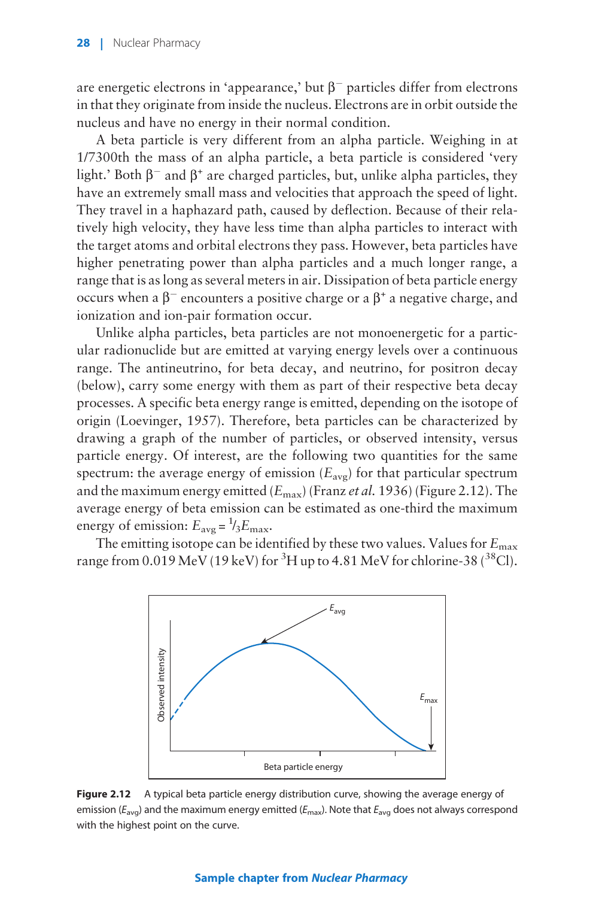are energetic electrons in 'appearance,' but  $\beta^-$  particles differ from electrons in that they originate from inside the nucleus. Electrons are in orbit outside the nucleus and have no energy in their normal condition.

A beta particle is very different from an alpha particle. Weighing in at 1/7300th the mass of an alpha particle, a beta particle is considered 'very light.' Both  $\beta^-$  and  $\beta^+$  are charged particles, but, unlike alpha particles, they have an extremely small mass and velocities that approach the speed of light. They travel in a haphazard path, caused by deflection. Because of their relatively high velocity, they have less time than alpha particles to interact with the target atoms and orbital electrons they pass. However, beta particles have higher penetrating power than alpha particles and a much longer range, a range that is as long as several meters in air. Dissipation of beta particle energy occurs when a  $\beta^-$  encounters a positive charge or a  $\beta^+$  a negative charge, and ionization and ion-pair formation occur.

Unlike alpha particles, beta particles are not monoenergetic for a particular radionuclide but are emitted at varying energy levels over a continuous range. The antineutrino, for beta decay, and neutrino, for positron decay (below), carry some energy with them as part of their respective beta decay processes. A specific beta energy range is emitted, depending on the isotope of origin ([Loevinger, 1957](#page-39-0)). Therefore, beta particles can be characterized by drawing a graph of the number of particles, or observed intensity, versus particle energy. Of interest, are the following two quantities for the same spectrum: the average energy of emission  $(E_{\text{avg}})$  for that particular spectrum and the maximum energy emitted  $(E_{\text{max}})$  ([Franz](#page-39-0) *et al.* 1936) (Figure 2.12). The average energy of beta emission can be estimated as one-third the maximum energy of emission:  $E_{\text{avg}} = \frac{1}{3} E_{\text{max}}$ .

The emitting isotope can be identified by these two values. Values for  $E_{\text{max}}$ range from 0.019 MeV (19 keV) for <sup>3</sup>H up to 4.81 MeV for chlorine-38 ( $\rm{^{38}Cl}$ ).



Figure 2.12 A typical beta particle energy distribution curve, showing the average energy of emission ( $E_{avg}$ ) and the maximum energy emitted ( $E_{max}$ ). Note that  $E_{avg}$  does not always correspond with the highest point on the curve.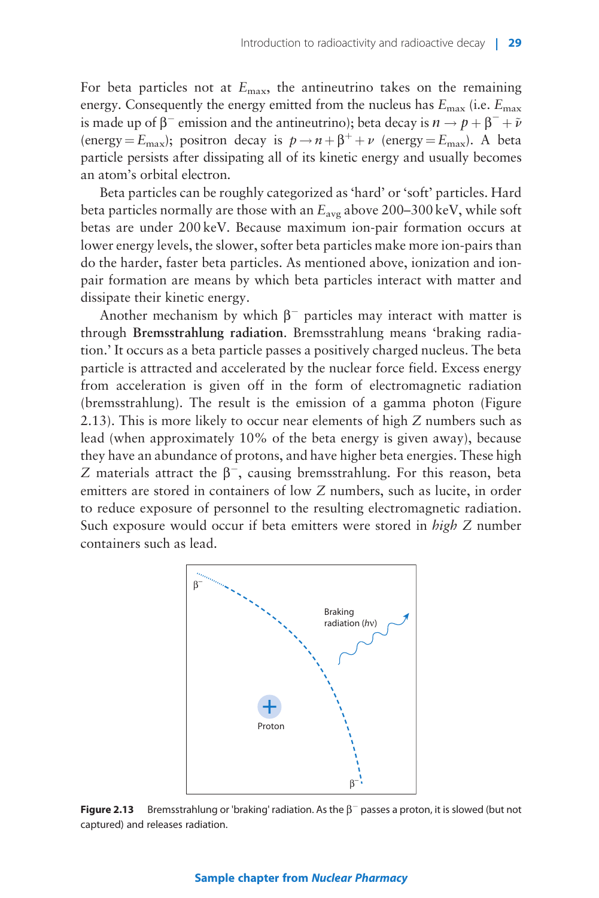For beta particles not at  $E_{\text{max}}$ , the antineutrino takes on the remaining energy. Consequently the energy emitted from the nucleus has  $E_{\text{max}}$  (i.e.  $E_{\text{max}}$ ) is made up of  $\beta^-$  emission and the antineutrino); beta decay is  $n \rightarrow p + \beta^- + \tilde{\nu}$ (energy =  $E_{\text{max}}$ ); positron decay is  $p \rightarrow n + \beta^+ + \nu$  (energy =  $E_{\text{max}}$ ). A beta particle persists after dissipating all of its kinetic energy and usually becomes an atom's orbital electron.

Beta particles can be roughly categorized as 'hard' or 'soft' particles. Hard beta particles normally are those with an  $E_{\text{avg}}$  above 200–300 keV, while soft betas are under 200 keV. Because maximum ion-pair formation occurs at lower energy levels, the slower, softer beta particles make more ion-pairs than do the harder, faster beta particles. As mentioned above, ionization and ionpair formation are means by which beta particles interact with matter and dissipate their kinetic energy.

Another mechanism by which  $\beta^-$  particles may interact with matter is through Bremsstrahlung radiation. Bremsstrahlung means 'braking radiation.' It occurs as a beta particle passes a positively charged nucleus. The beta particle is attracted and accelerated by the nuclear force field. Excess energy from acceleration is given off in the form of electromagnetic radiation (bremsstrahlung). The result is the emission of a gamma photon (Figure 2.13). This is more likely to occur near elements of high Z numbers such as lead (when approximately 10% of the beta energy is given away), because they have an abundance of protons, and have higher beta energies. These high Z materials attract the  $\beta^-$ , causing bremsstrahlung. For this reason, beta emitters are stored in containers of low Z numbers, such as lucite, in order to reduce exposure of personnel to the resulting electromagnetic radiation. Such exposure would occur if beta emitters were stored in high Z number containers such as lead.



Figure 2.13 Bremsstrahlung or 'braking' radiation. As the  $\beta^-$  passes a proton, it is slowed (but not captured) and releases radiation.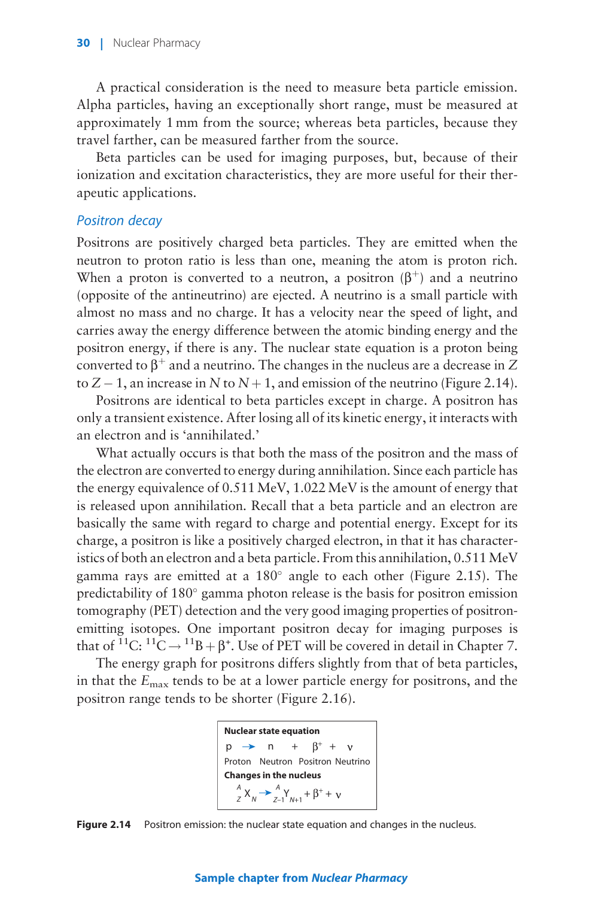A practical consideration is the need to measure beta particle emission. Alpha particles, having an exceptionally short range, must be measured at approximately 1 mm from the source; whereas beta particles, because they travel farther, can be measured farther from the source.

Beta particles can be used for imaging purposes, but, because of their ionization and excitation characteristics, they are more useful for their therapeutic applications.

#### Positron decay

Positrons are positively charged beta particles. They are emitted when the neutron to proton ratio is less than one, meaning the atom is proton rich. When a proton is converted to a neutron, a positron  $(\beta^+)$  and a neutrino (opposite of the antineutrino) are ejected. A neutrino is a small particle with almost no mass and no charge. It has a velocity near the speed of light, and carries away the energy difference between the atomic binding energy and the positron energy, if there is any. The nuclear state equation is a proton being converted to  $\beta^+$  and a neutrino. The changes in the nucleus are a decrease in Z to  $Z - 1$ , an increase in N to  $N + 1$ , and emission of the neutrino (Figure 2.14).

Positrons are identical to beta particles except in charge. A positron has only a transient existence. After losing all of its kinetic energy, it interacts with an electron and is 'annihilated.'

What actually occurs is that both the mass of the positron and the mass of the electron are converted to energy during annihilation. Since each particle has the energy equivalence of 0.511MeV, 1.022MeV is the amount of energy that is released upon annihilation. Recall that a beta particle and an electron are basically the same with regard to charge and potential energy. Except for its charge, a positron is like a positively charged electron, in that it has characteristics of both an electron and a beta particle. From this annihilation, 0.511MeV gamma rays are emitted at a  $180^\circ$  angle to each other [\(Figure 2.15\)](#page-18-0). The predictability of  $180^\circ$  gamma photon release is the basis for positron emission tomography (PET) detection and the very good imaging properties of positronemitting isotopes. One important positron decay for imaging purposes is that of <sup>11</sup>C: <sup>11</sup>C  $\rightarrow$  <sup>11</sup>B +  $\beta$ <sup>+</sup>. Use of PET will be covered in detail in Chapter 7.<br>The energy graph for positrons differs slightly from that of here particles.

The energy graph for positrons differs slightly from that of beta particles, in that the  $E_{\text{max}}$  tends to be at a lower particle energy for positrons, and the positron range tends to be shorter ([Figure 2.16\)](#page-18-0).

 $\sum_{i=1}^{A} X_{i} \rightarrow \sum_{i=1}^{A} Y_{i} + \beta^{+} +$  $p \rightarrow n + \beta^+ +$ **Nuclear state equation Changes in the nucleus** Proton Neutron Positron Neutrino

Figure 2.14 Positron emission: the nuclear state equation and changes in the nucleus.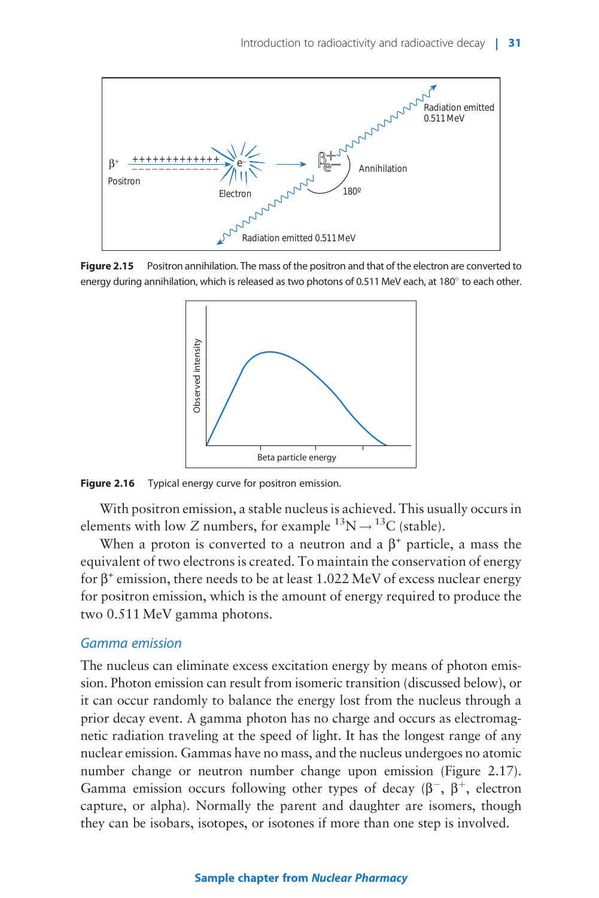<span id="page-18-0"></span>

**Figure 2.15** Positron annihilation. The mass of the positron and that of the electron are converted to energy during annihilation, which is released as two photons of 0.511 MeV each, at 180 $^{\circ}$  to each other.



Figure 2.16 Typical energy curve for positron emission.

With positron emission, a stable nucleus is achieved. This usually occurs in elements with low Z numbers, for example  $^{13}N \rightarrow ^{13}C$  (stable).

When a proton is converted to a neutron and a  $\beta^+$  particle, a mass the equivalent of two electrons is created. To maintain the conservation of energy for  $\beta^+$  emission, there needs to be at least 1.022 MeV of excess nuclear energy for positron emission, which is the amount of energy required to produce the two 0.511 MeV gamma photons.

#### Gamma emission

The nucleus can eliminate excess excitation energy by means of photon emission. Photon emission can result from isomeric transition (discussed below), or it can occur randomly to balance the energy lost from the nucleus through a prior decay event. A gamma photon has no charge and occurs as electromagnetic radiation traveling at the speed of light. It has the longest range of any nuclear emission. Gammas have no mass, and the nucleus undergoes no atomic number change or neutron number change upon emission ([Figure 2.17](#page-19-0)). Gamma emission occurs following other types of decay  $(\beta^-, \beta^+, \beta^+)$ capture, or alpha). Normally the parent and daughter are isomers, though they can be isobars, isotopes, or isotones if more than one step is involved.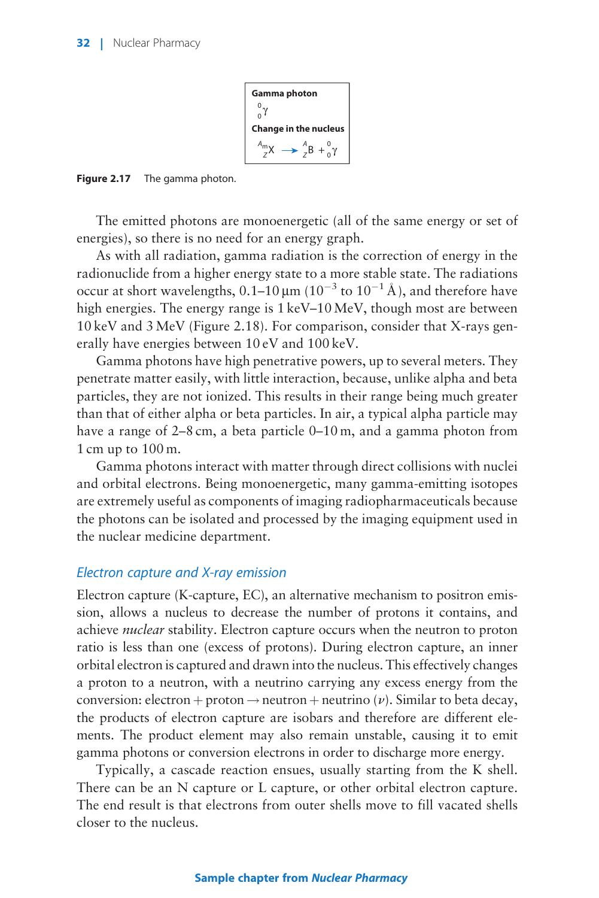

<span id="page-19-0"></span>Figure 2.17 The gamma photon.

The emitted photons are monoenergetic (all of the same energy or set of energies), so there is no need for an energy graph.

As with all radiation, gamma radiation is the correction of energy in the radionuclide from a higher energy state to a more stable state. The radiations occur at short wavelengths,  $0.1-10 \,\mu\text{m}$  ( $10^{-3}$  to  $10^{-1} \text{\AA}$ ), and therefore have<br>high energies. The energy range is  $1 \text{ keV}$ ,  $10 \text{ MeV}$ , though most are between high energies. The energy range is  $1 \text{ keV}$ –10 MeV, though most are between 10 keV and 3MeV ([Figure 2.18](#page-20-0)). For comparison, consider that X-rays generally have energies between 10 eV and 100 keV.

Gamma photons have high penetrative powers, up to several meters. They penetrate matter easily, with little interaction, because, unlike alpha and beta particles, they are not ionized. This results in their range being much greater than that of either alpha or beta particles. In air, a typical alpha particle may have a range of 2–8 cm, a beta particle 0–10 m, and a gamma photon from 1 cm up to 100 m.

Gamma photons interact with matter through direct collisions with nuclei and orbital electrons. Being monoenergetic, many gamma-emitting isotopes are extremely useful as components of imaging radiopharmaceuticals because the photons can be isolated and processed by the imaging equipment used in the nuclear medicine department.

#### Electron capture and X-ray emission

Electron capture (K-capture, EC), an alternative mechanism to positron emission, allows a nucleus to decrease the number of protons it contains, and achieve nuclear stability. Electron capture occurs when the neutron to proton ratio is less than one (excess of protons). During electron capture, an inner orbital electron is captured and drawn into the nucleus. This effectively changes a proton to a neutron, with a neutrino carrying any excess energy from the conversion: electron + proton → neutron + neutrino ( $\nu$ ). Similar to beta decay, the products of electron capture are isobars and therefore are different elements. The product element may also remain unstable, causing it to emit gamma photons or conversion electrons in order to discharge more energy.

Typically, a cascade reaction ensues, usually starting from the K shell. There can be an N capture or L capture, or other orbital electron capture. The end result is that electrons from outer shells move to fill vacated shells closer to the nucleus.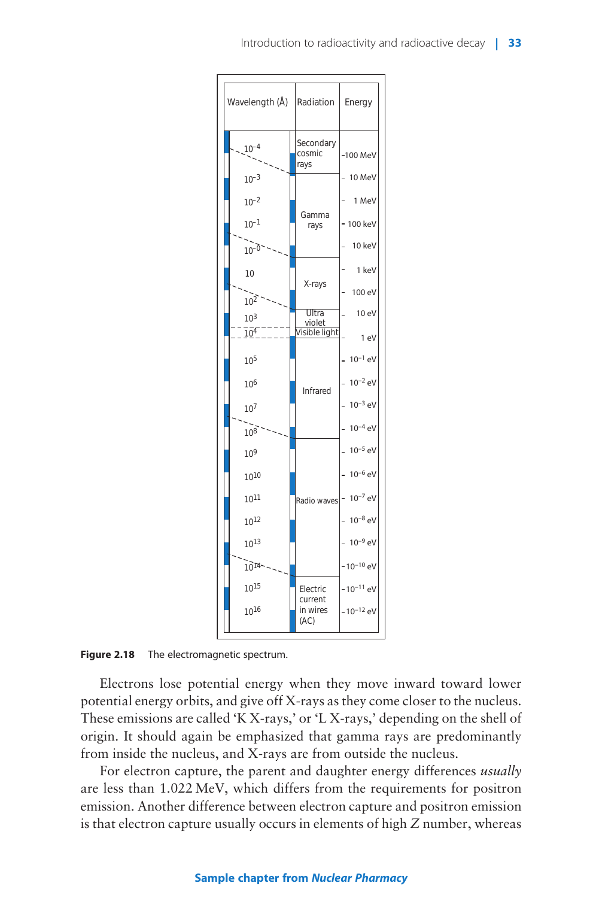<span id="page-20-0"></span>

Figure 2.18 The electromagnetic spectrum.

Electrons lose potential energy when they move inward toward lower potential energy orbits, and give off X-rays as they come closer to the nucleus. These emissions are called 'K X-rays,' or 'L X-rays,' depending on the shell of origin. It should again be emphasized that gamma rays are predominantly from inside the nucleus, and X-rays are from outside the nucleus.

For electron capture, the parent and daughter energy differences usually are less than 1.022 MeV, which differs from the requirements for positron emission. Another difference between electron capture and positron emission is that electron capture usually occurs in elements of high Z number, whereas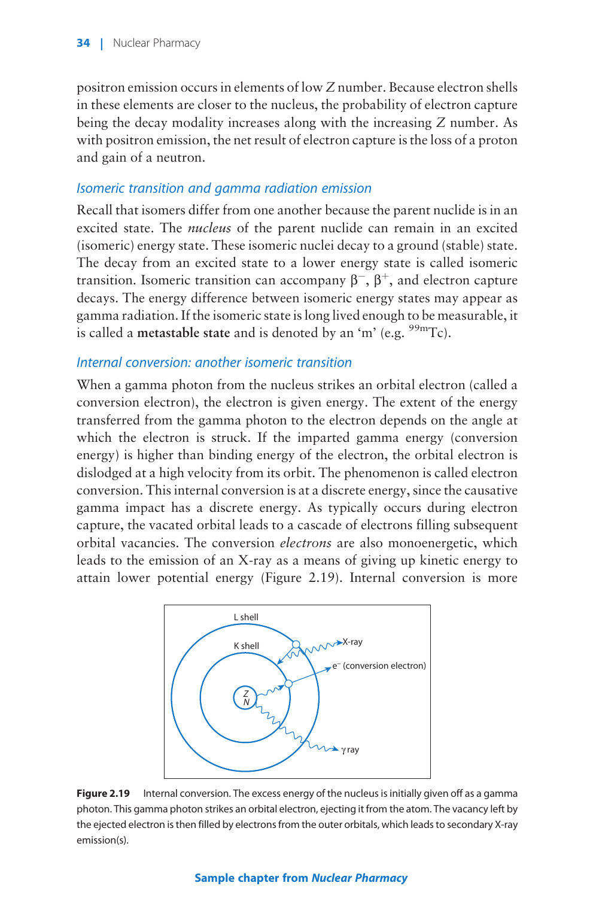positron emission occurs in elements of low Z number. Because electron shells in these elements are closer to the nucleus, the probability of electron capture being the decay modality increases along with the increasing Z number. As with positron emission, the net result of electron capture is the loss of a proton and gain of a neutron.

# Isomeric transition and gamma radiation emission

Recall that isomers differ from one another because the parent nuclide is in an excited state. The *nucleus* of the parent nuclide can remain in an excited (isomeric) energy state. These isomeric nuclei decay to a ground (stable) state. The decay from an excited state to a lower energy state is called isomeric transition. Isomeric transition can accompany  $\beta^{-}$ ,  $\beta^{+}$ , and electron capture decays. The energy difference between isomeric energy states may appear as gamma radiation. If the isomeric state is long lived enough to be measurable, it is called a metastable state and is denoted by an 'm' (e.g.  $\frac{99 \text{m}}{C}$ ).

# Internal conversion: another isomeric transition

When a gamma photon from the nucleus strikes an orbital electron (called a conversion electron), the electron is given energy. The extent of the energy transferred from the gamma photon to the electron depends on the angle at which the electron is struck. If the imparted gamma energy (conversion energy) is higher than binding energy of the electron, the orbital electron is dislodged at a high velocity from its orbit. The phenomenon is called electron conversion. This internal conversion is at a discrete energy, since the causative gamma impact has a discrete energy. As typically occurs during electron capture, the vacated orbital leads to a cascade of electrons filling subsequent orbital vacancies. The conversion electrons are also monoenergetic, which leads to the emission of an X-ray as a means of giving up kinetic energy to attain lower potential energy (Figure 2.19). Internal conversion is more



Figure 2.19 Internal conversion. The excess energy of the nucleus is initially given off as a gamma photon. This gamma photon strikes an orbital electron, ejecting it from the atom. The vacancy left by the ejected electron is then filled by electrons from the outer orbitals, which leads to secondary X-ray emission(s).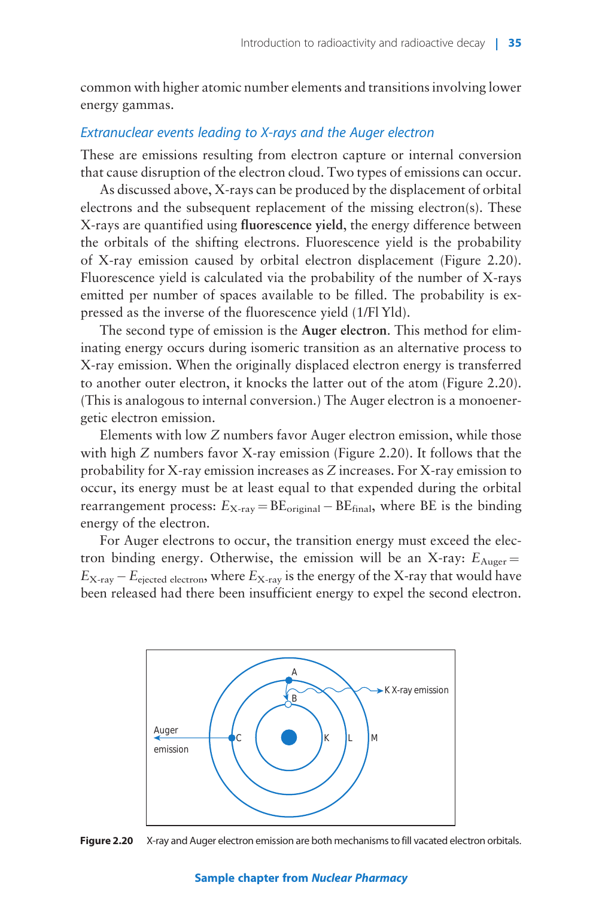common with higher atomic number elements and transitions involving lower energy gammas.

# Extranuclear events leading to X-rays and the Auger electron

These are emissions resulting from electron capture or internal conversion that cause disruption of the electron cloud. Two types of emissions can occur.

As discussed above, X-rays can be produced by the displacement of orbital electrons and the subsequent replacement of the missing electron(s). These X-rays are quantified using fluorescence yield, the energy difference between the orbitals of the shifting electrons. Fluorescence yield is the probability of X-ray emission caused by orbital electron displacement (Figure 2.20). Fluorescence yield is calculated via the probability of the number of X-rays emitted per number of spaces available to be filled. The probability is expressed as the inverse of the fluorescence yield (1/Fl Yld).

The second type of emission is the Auger electron. This method for eliminating energy occurs during isomeric transition as an alternative process to X-ray emission. When the originally displaced electron energy is transferred to another outer electron, it knocks the latter out of the atom (Figure 2.20). (This is analogous to internal conversion.) The Auger electron is a monoenergetic electron emission.

Elements with low Z numbers favor Auger electron emission, while those with high  $Z$  numbers favor X-ray emission (Figure 2.20). It follows that the probability for X-ray emission increases as Z increases. For X-ray emission to occur, its energy must be at least equal to that expended during the orbital rearrangement process:  $E_{X-ray} = BE_{original} - BE_{final}$ , where BE is the binding energy of the electron.

For Auger electrons to occur, the transition energy must exceed the electron binding energy. Otherwise, the emission will be an X-ray:  $E_{Auser} =$  $E_{\text{X-ray}} - E_{\text{ejected electron}}$ , where  $E_{\text{X-ray}}$  is the energy of the X-ray that would have been released had there been insufficient energy to expel the second electron.



Figure 2.20 X-ray and Auger electron emission are both mechanisms to fill vacated electron orbitals.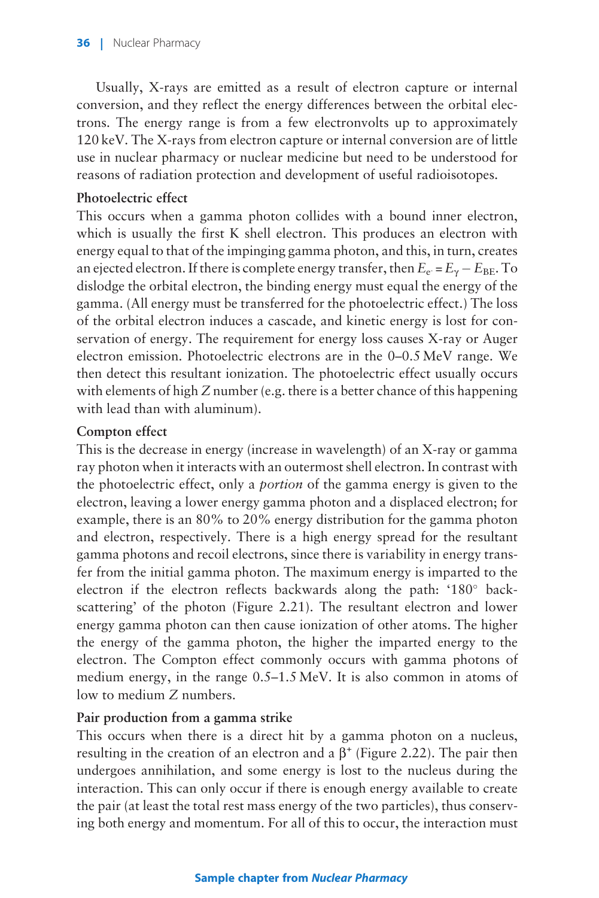Usually, X-rays are emitted as a result of electron capture or internal conversion, and they reflect the energy differences between the orbital electrons. The energy range is from a few electronvolts up to approximately 120 keV. The X-rays from electron capture or internal conversion are of little use in nuclear pharmacy or nuclear medicine but need to be understood for reasons of radiation protection and development of useful radioisotopes.

# Photoelectric effect

This occurs when a gamma photon collides with a bound inner electron, which is usually the first K shell electron. This produces an electron with energy equal to that of the impinging gamma photon, and this, in turn, creates an ejected electron. If there is complete energy transfer, then  $E_e = E_\gamma - E_{BE}$ . To dislodge the orbital electron, the binding energy must equal the energy of the gamma. (All energy must be transferred for the photoelectric effect.) The loss of the orbital electron induces a cascade, and kinetic energy is lost for conservation of energy. The requirement for energy loss causes X-ray or Auger electron emission. Photoelectric electrons are in the 0–0.5 MeV range. We then detect this resultant ionization. The photoelectric effect usually occurs with elements of high  $Z$  number (e.g. there is a better chance of this happening with lead than with aluminum).

# Compton effect

This is the decrease in energy (increase in wavelength) of an X-ray or gamma ray photon when it interacts with an outermost shell electron. In contrast with the photoelectric effect, only a portion of the gamma energy is given to the electron, leaving a lower energy gamma photon and a displaced electron; for example, there is an 80% to 20% energy distribution for the gamma photon and electron, respectively. There is a high energy spread for the resultant gamma photons and recoil electrons, since there is variability in energy transfer from the initial gamma photon. The maximum energy is imparted to the electron if the electron reflects backwards along the path: ' $180^\circ$  backscattering' of the photon ([Figure 2.21\)](#page-24-0). The resultant electron and lower energy gamma photon can then cause ionization of other atoms. The higher the energy of the gamma photon, the higher the imparted energy to the electron. The Compton effect commonly occurs with gamma photons of medium energy, in the range 0.5–1.5 MeV. It is also common in atoms of low to medium Z numbers.

# Pair production from a gamma strike

This occurs when there is a direct hit by a gamma photon on a nucleus, resulting in the creation of an electron and a  $\beta^+$  [\(Figure 2.22](#page-24-0)). The pair then undergoes annihilation, and some energy is lost to the nucleus during the interaction. This can only occur if there is enough energy available to create the pair (at least the total rest mass energy of the two particles), thus conserving both energy and momentum. For all of this to occur, the interaction must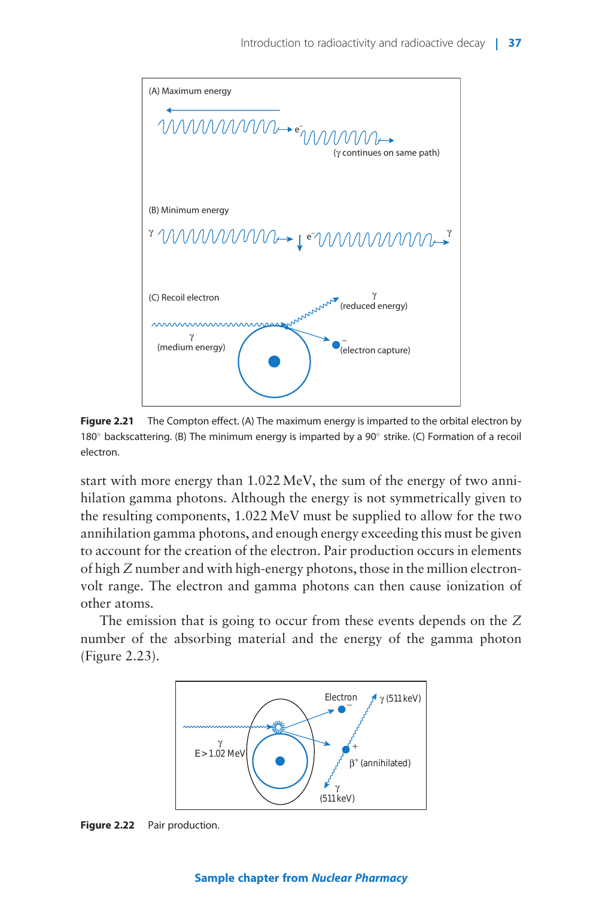<span id="page-24-0"></span>

**Figure 2.21** The Compton effect. (A) The maximum energy is imparted to the orbital electron by 180 $^{\circ}$  backscattering. (B) The minimum energy is imparted by a 90 $^{\circ}$  strike. (C) Formation of a recoil electron.

start with more energy than 1.022 MeV, the sum of the energy of two annihilation gamma photons. Although the energy is not symmetrically given to the resulting components, 1.022 MeV must be supplied to allow for the two annihilation gamma photons, and enough energy exceeding this must be given to account for the creation of the electron. Pair production occurs in elements of high Z number and with high-energy photons, those in the million electronvolt range. The electron and gamma photons can then cause ionization of other atoms.

The emission that is going to occur from these events depends on the Z number of the absorbing material and the energy of the gamma photon ([Figure 2.23\)](#page-25-0).



Figure 2.22 Pair production.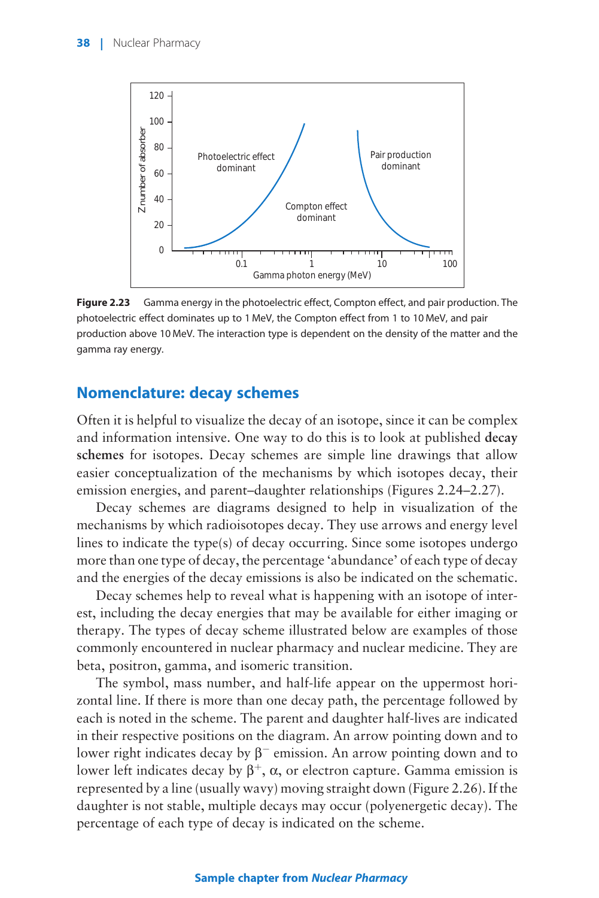<span id="page-25-0"></span>

**Figure 2.23** Gamma energy in the photoelectric effect, Compton effect, and pair production. The photoelectric effect dominates up to 1 MeV, the Compton effect from 1 to 10 MeV, and pair production above 10 MeV. The interaction type is dependent on the density of the matter and the gamma ray energy.

# Nomenclature: decay schemes

Often it is helpful to visualize the decay of an isotope, since it can be complex and information intensive. One way to do this is to look at published decay schemes for isotopes. Decay schemes are simple line drawings that allow easier conceptualization of the mechanisms by which isotopes decay, their emission energies, and parent–daughter relationships [\(Figures 2.24–2.27\)](#page-26-0).

Decay schemes are diagrams designed to help in visualization of the mechanisms by which radioisotopes decay. They use arrows and energy level lines to indicate the type(s) of decay occurring. Since some isotopes undergo more than one type of decay, the percentage 'abundance' of each type of decay and the energies of the decay emissions is also be indicated on the schematic.

Decay schemes help to reveal what is happening with an isotope of interest, including the decay energies that may be available for either imaging or therapy. The types of decay scheme illustrated below are examples of those commonly encountered in nuclear pharmacy and nuclear medicine. They are beta, positron, gamma, and isomeric transition.

The symbol, mass number, and half-life appear on the uppermost horizontal line. If there is more than one decay path, the percentage followed by each is noted in the scheme. The parent and daughter half-lives are indicated in their respective positions on the diagram. An arrow pointing down and to lower right indicates decay by  $\beta$ <sup>-</sup> emission. An arrow pointing down and to lower left indicates decay by  $\beta^+$ ,  $\alpha$ , or electron capture. Gamma emission is represented by a line (usually wavy) moving straight down (Figure 2.26). If the daughter is not stable, multiple decays may occur (polyenergetic decay). The percentage of each type of decay is indicated on the scheme.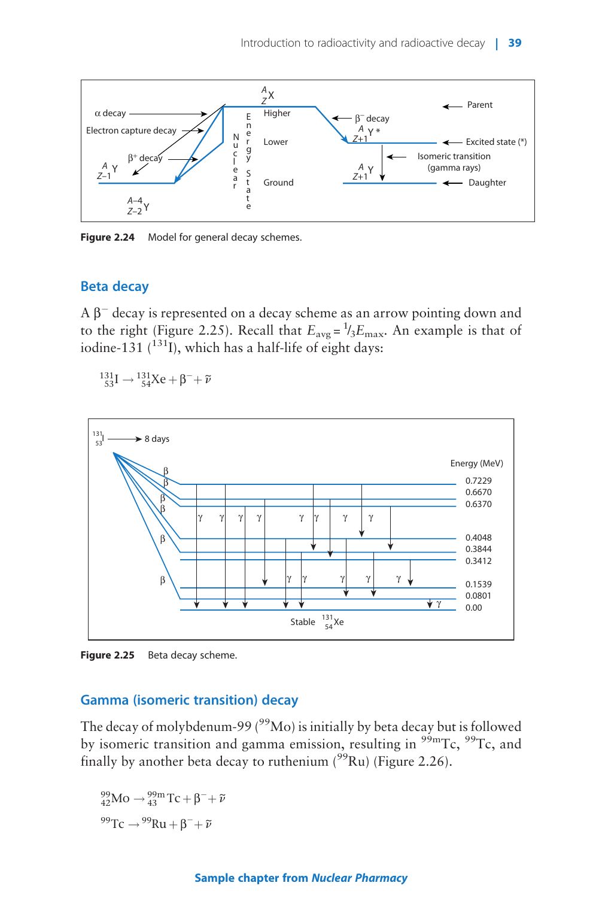<span id="page-26-0"></span>

Figure 2.24 Model for general decay schemes.

#### Beta decay

 $A \beta$ <sup>-</sup> decay is represented on a decay scheme as an arrow pointing down and to the right (Figure 2.25). Recall that  $E_{\text{avg}} = \frac{1}{3} E_{\text{max}}$ . An example is that of iodine-131  $(^{131}I)$ , which has a half-life of eight days:

$$
^{131}_{53}I \rightarrow {}^{131}_{54}Xe + \beta^- + \widetilde{\nu}
$$



Figure 2.25 Beta decay scheme.

#### Gamma (isomeric transition) decay

The decay of molybdenum-99 ( $99$ Mo) is initially by beta decay but is followed by isomeric transition and gamma emission, resulting in <sup>99m</sup>Tc, <sup>99</sup>Tc, and finally by another beta decay to ruthenium  $(^{99}Ru)$  [\(Figure 2.26](#page-27-0)).

 $^{99}_{42}$ Mo  $\rightarrow$   $^{99m}_{43}$ Tc +  $\beta^-$  +  $\tilde{\nu}$ <sup>99</sup>Tc  $\rightarrow$  <sup>99</sup>Ru +  $\beta^-$  +  $\tilde{\nu}$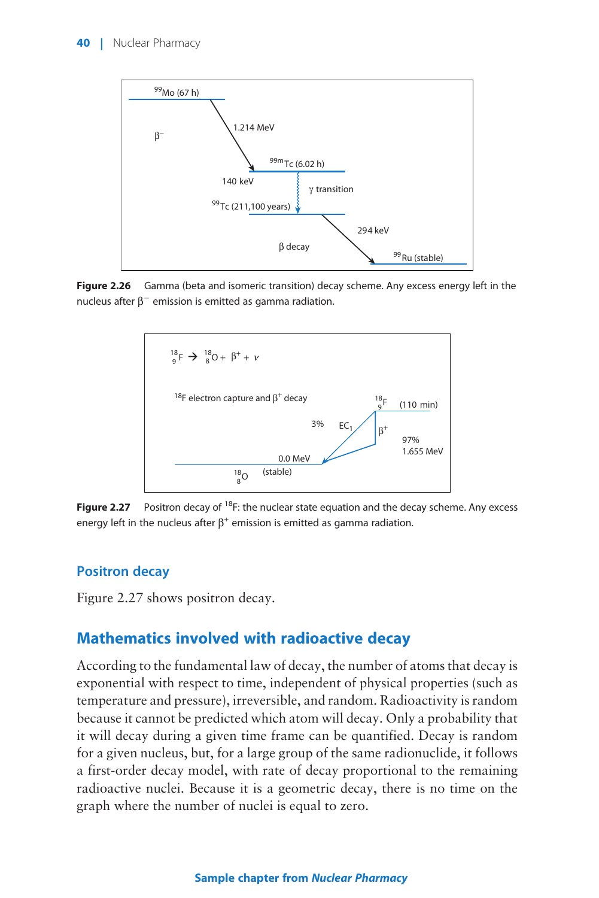<span id="page-27-0"></span>

Figure 2.26 Gamma (beta and isomeric transition) decay scheme. Any excess energy left in the nucleus after  $\beta^-$  emission is emitted as gamma radiation.



**Figure 2.27** Positron decay of  ${}^{18}F$ : the nuclear state equation and the decay scheme. Any excess energy left in the nucleus after  $\beta^+$  emission is emitted as gamma radiation.

# Positron decay

Figure 2.27 shows positron decay.

# Mathematics involved with radioactive decay

According to the fundamental law of decay, the number of atoms that decay is exponential with respect to time, independent of physical properties (such as temperature and pressure), irreversible, and random. Radioactivity is random because it cannot be predicted which atom will decay. Only a probability that it will decay during a given time frame can be quantified. Decay is random for a given nucleus, but, for a large group of the same radionuclide, it follows a first-order decay model, with rate of decay proportional to the remaining radioactive nuclei. Because it is a geometric decay, there is no time on the graph where the number of nuclei is equal to zero.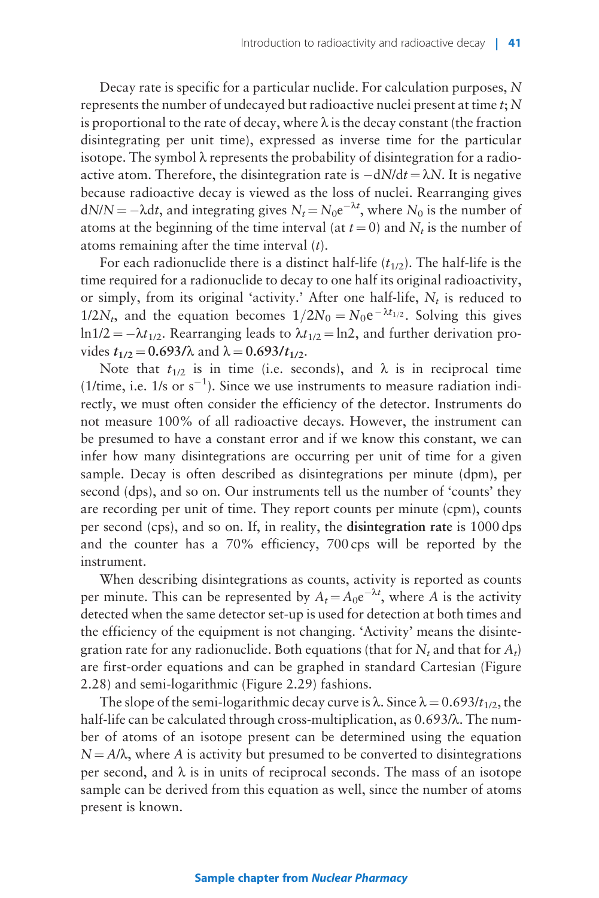Decay rate is specific for a particular nuclide. For calculation purposes, N represents the number of undecayed but radioactive nuclei present at time  $t_i$ ; N is proportional to the rate of decay, where  $\lambda$  is the decay constant (the fraction disintegrating per unit time), expressed as inverse time for the particular isotope. The symbol  $\lambda$  represents the probability of disintegration for a radioactive atom. Therefore, the disintegration rate is  $-dN/dt = \lambda N$ . It is negative because radioactive decay is viewed as the loss of nuclei. Rearranging gives  $dN/N = -\lambda dt$ , and integrating gives  $N_t = N_0 e^{-\lambda t}$ , where  $N_0$  is the number of atoms at the heginning of the time integral (at  $t = 0$ ) and N is the number of atoms at the beginning of the time interval (at  $t = 0$ ) and  $N_t$  is the number of atoms remaining after the time interval  $(t)$ .

For each radionuclide there is a distinct half-life  $(t_{1/2})$ . The half-life is the time required for a radionuclide to decay to one half its original radioactivity, or simply, from its original 'activity.' After one half-life,  $N_t$  is reduced to  $1/2N_t$ , and the equation becomes  $1/2N_0 = N_0 e^{-\lambda t_{1/2}}$ . Solving this gives  $ln 1/2 = -\lambda t_{1/2}$ . Rearranging leads to  $\lambda t_{1/2} = ln2$ , and further derivation provides  $t_{1/2} = 0.693/\lambda$  and  $\lambda = 0.693/t_{1/2}$ .

Note that  $t_{1/2}$  is in time (i.e. seconds), and  $\lambda$  is in reciprocal time (1/time, i.e.  $1/s$  or  $s^{-1}$ ). Since we use instruments to measure radiation indirectly, we must often consider the efficiency of the detector. Instruments do not measure 100% of all radioactive decays. However, the instrument can be presumed to have a constant error and if we know this constant, we can infer how many disintegrations are occurring per unit of time for a given sample. Decay is often described as disintegrations per minute (dpm), per second (dps), and so on. Our instruments tell us the number of 'counts' they are recording per unit of time. They report counts per minute (cpm), counts per second (cps), and so on. If, in reality, the disintegration rate is 1000 dps and the counter has a 70% efficiency, 700 cps will be reported by the instrument.

When describing disintegrations as counts, activity is reported as counts per minute. This can be represented by  $A_t = A_0 e^{-\lambda t}$ , where A is the activity detected when the same detector set-up is used for detection at both times and the efficiency of the equipment is not changing. 'Activity' means the disintegration rate for any radionuclide. Both equations (that for  $N_t$  and that for  $A_t$ ) are first-order equations and can be graphed in standard Cartesian [\(Figure](#page-29-0) [2.28\)](#page-29-0) and semi-logarithmic ([Figure 2.29\)](#page-29-0) fashions.

The slope of the semi-logarithmic decay curve is  $\lambda$ . Since  $\lambda = 0.693/t_{1/2}$ , the half-life can be calculated through cross-multiplication, as  $0.693/\lambda$ . The number of atoms of an isotope present can be determined using the equation  $N = A/\lambda$ , where A is activity but presumed to be converted to disintegrations per second, and  $\lambda$  is in units of reciprocal seconds. The mass of an isotope sample can be derived from this equation as well, since the number of atoms present is known.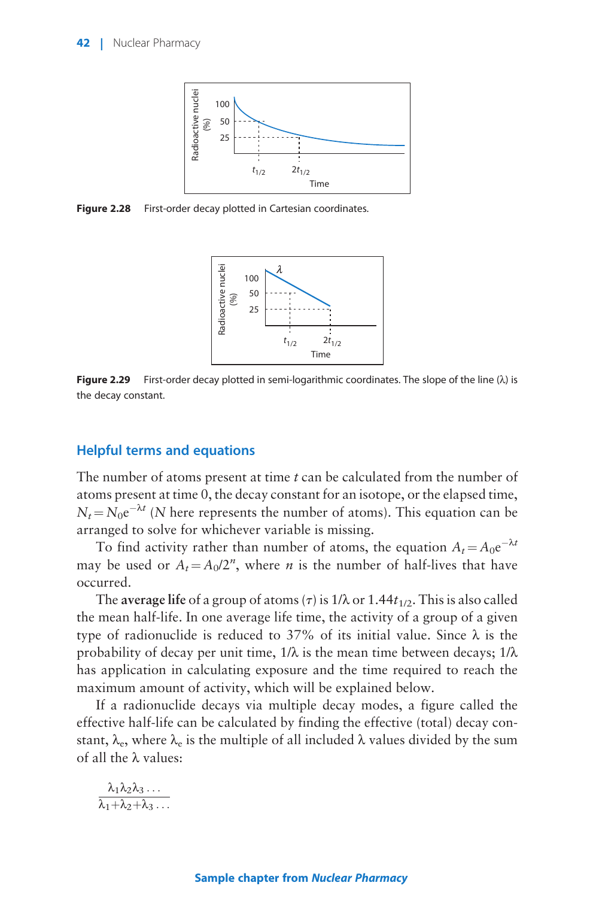<span id="page-29-0"></span>

**Figure 2.28** First-order decay plotted in Cartesian coordinates.



Figure 2.29 First-order decay plotted in semi-logarithmic coordinates. The slope of the line  $(\lambda)$  is the decay constant.

# Helpful terms and equations

The number of atoms present at time  $t$  can be calculated from the number of atoms present at time 0, the decay constant for an isotope, or the elapsed time,  $N_t = N_0 e^{-\lambda t}$  (N here represents the number of atoms). This equation can be arranged to solve for whichever variable is missing.

To find activity rather than number of atoms, the equation  $A_t = A_0 e^{-\lambda t}$ may be used or  $A_t = A_0/2^n$ , where *n* is the number of half-lives that have occurred.

The average life of a group of atoms ( $\tau$ ) is  $1/\lambda$  or  $1.44t_{1/2}$ . This is also called the mean half-life. In one average life time, the activity of a group of a given type of radionuclide is reduced to 37% of its initial value. Since  $\lambda$  is the probability of decay per unit time,  $1/\lambda$  is the mean time between decays;  $1/\lambda$ has application in calculating exposure and the time required to reach the maximum amount of activity, which will be explained below.

If a radionuclide decays via multiple decay modes, a figure called the effective half-life can be calculated by finding the effective (total) decay constant,  $\lambda_e$ , where  $\lambda_e$  is the multiple of all included  $\lambda$  values divided by the sum of all the  $\lambda$  values:

$$
\frac{\lambda_1\lambda_2\lambda_3\ldots}{\lambda_1+\lambda_2+\lambda_3\ldots}
$$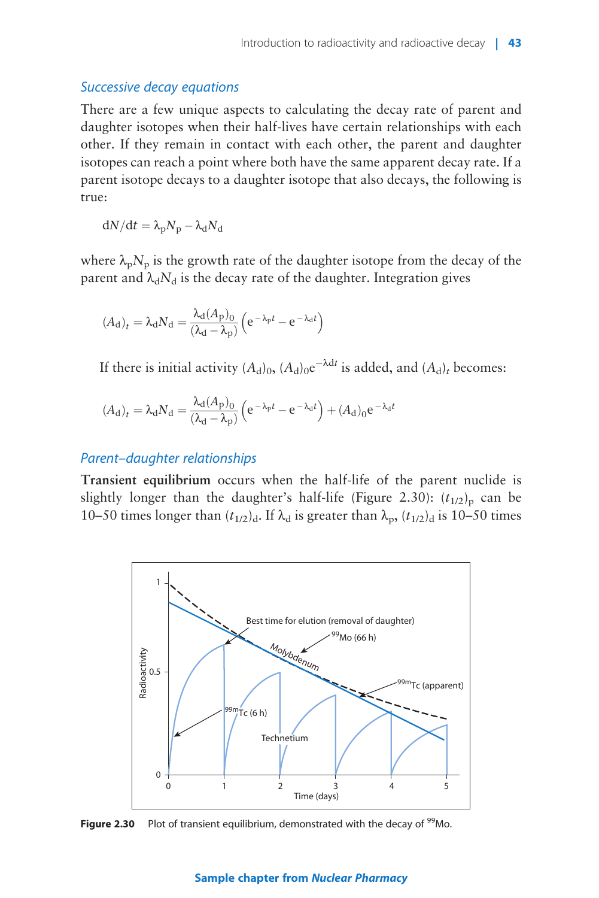#### <span id="page-30-0"></span>Successive decay equations

There are a few unique aspects to calculating the decay rate of parent and daughter isotopes when their half-lives have certain relationships with each other. If they remain in contact with each other, the parent and daughter isotopes can reach a point where both have the same apparent decay rate. If a parent isotope decays to a daughter isotope that also decays, the following is true:

 $dN/dt = \lambda_p N_p - \lambda_d N_d$ 

where  $\lambda_p N_p$  is the growth rate of the daughter isotope from the decay of the parent and  $\lambda_d$ N<sub>d</sub> is the decay rate of the daughter. Integration gives

$$
(A_{\rm d})_t = \lambda_{\rm d} N_{\rm d} = \frac{\lambda_{\rm d} (A_{\rm p})_0}{(\lambda_{\rm d} - \lambda_{\rm p})} \left( e^{-\lambda_{\rm p} t} - e^{-\lambda_{\rm d} t} \right)
$$

If there is initial activity  $(A_d)_{0}$ ,  $(A_d)_{0}e^{-\lambda dt}$  is added, and  $(A_d)_t$  becomes:

$$
(A_{\rm d})_t = \lambda_{\rm d} N_{\rm d} = \frac{\lambda_{\rm d} (A_{\rm p})_0}{(\lambda_{\rm d} - \lambda_{\rm p})} \left( e^{-\lambda_{\rm p}t} - e^{-\lambda_{\rm d}t} \right) + (A_{\rm d})_0 e^{-\lambda_{\rm d}t}
$$

#### Parent–daughter relationships

Transient equilibrium occurs when the half-life of the parent nuclide is slightly longer than the daughter's half-life (Figure 2.30):  $(t_{1/2})$ <sub>p</sub> can be 10–50 times longer than  $(t_{1/2})_d$ . If  $\lambda_d$  is greater than  $\lambda_p$ ,  $(t_{1/2})_d$  is 10–50 times



**Figure 2.30** Plot of transient equilibrium, demonstrated with the decay of  $99$ Mo.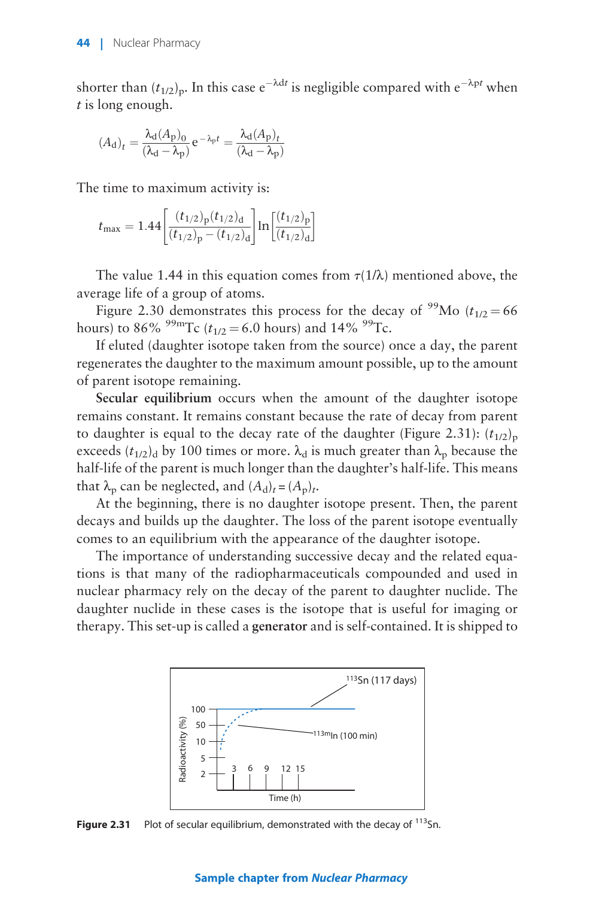shorter than  $(t_{1/2})_p$ . In this case  $e^{-\lambda dt}$  is negligible compared with  $e^{-\lambda pt}$  when  $t$  is long enough.

$$
(A_{\rm d})_t = \frac{\lambda_{\rm d}(A_{\rm p})_0}{(\lambda_{\rm d} - \lambda_{\rm p})} e^{-\lambda_{\rm p}t} = \frac{\lambda_{\rm d}(A_{\rm p})_t}{(\lambda_{\rm d} - \lambda_{\rm p})}
$$

The time to maximum activity is:

$$
t_{\max} = 1.44 \left[ \frac{(t_{1/2})_{\text{p}} (t_{1/2})_{\text{d}}}{(t_{1/2})_{\text{p}} - (t_{1/2})_{\text{d}}} \right] \ln \left[ \frac{(t_{1/2})_{\text{p}}}{(t_{1/2})_{\text{d}}} \right]
$$

The value 1.44 in this equation comes from  $\tau(1/\lambda)$  mentioned above, the average life of a group of atoms.

[Figure 2.30](#page-30-0) demonstrates this process for the decay of <sup>99</sup>Mo ( $t_{1/2} = 66$ ) hours) to 86% <sup>99m</sup>Tc ( $t_{1/2}$  = 6.0 hours) and 14% <sup>99</sup>Tc.

If eluted (daughter isotope taken from the source) once a day, the parent regenerates the daughter to the maximum amount possible, up to the amount of parent isotope remaining.

Secular equilibrium occurs when the amount of the daughter isotope remains constant. It remains constant because the rate of decay from parent to daughter is equal to the decay rate of the daughter (Figure 2.31):  $(t_{1/2})_p$ exceeds  $(t_{1/2})_d$  by 100 times or more.  $\lambda_d$  is much greater than  $\lambda_p$  because the half-life of the parent is much longer than the daughter's half-life. This means that  $\lambda_n$  can be neglected, and  $(A_d)_t = (A_n)_t$ .

At the beginning, there is no daughter isotope present. Then, the parent decays and builds up the daughter. The loss of the parent isotope eventually comes to an equilibrium with the appearance of the daughter isotope.

The importance of understanding successive decay and the related equations is that many of the radiopharmaceuticals compounded and used in nuclear pharmacy rely on the decay of the parent to daughter nuclide. The daughter nuclide in these cases is the isotope that is useful for imaging or therapy. This set-up is called a generator and is self-contained. It is shipped to



**Figure 2.31** Plot of secular equilibrium, demonstrated with the decay of  $^{113}$ Sn.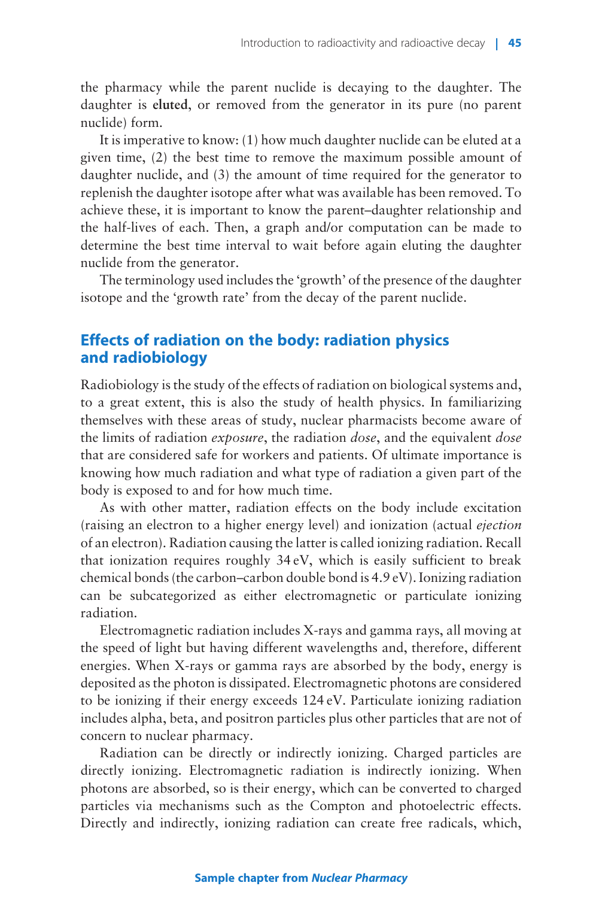the pharmacy while the parent nuclide is decaying to the daughter. The daughter is eluted, or removed from the generator in its pure (no parent nuclide) form.

It is imperative to know: (1) how much daughter nuclide can be eluted at a given time, (2) the best time to remove the maximum possible amount of daughter nuclide, and (3) the amount of time required for the generator to replenish the daughter isotope after what was available has been removed. To achieve these, it is important to know the parent–daughter relationship and the half-lives of each. Then, a graph and/or computation can be made to determine the best time interval to wait before again eluting the daughter nuclide from the generator.

The terminology used includes the 'growth' of the presence of the daughter isotope and the 'growth rate' from the decay of the parent nuclide.

# Effects of radiation on the body: radiation physics and radiobiology

Radiobiology is the study of the effects of radiation on biological systems and, to a great extent, this is also the study of health physics. In familiarizing themselves with these areas of study, nuclear pharmacists become aware of the limits of radiation exposure, the radiation dose, and the equivalent dose that are considered safe for workers and patients. Of ultimate importance is knowing how much radiation and what type of radiation a given part of the body is exposed to and for how much time.

As with other matter, radiation effects on the body include excitation (raising an electron to a higher energy level) and ionization (actual ejection of an electron). Radiation causing the latter is called ionizing radiation. Recall that ionization requires roughly 34 eV, which is easily sufficient to break chemical bonds (the carbon–carbon double bond is 4.9 eV). Ionizing radiation can be subcategorized as either electromagnetic or particulate ionizing radiation.

Electromagnetic radiation includes X-rays and gamma rays, all moving at the speed of light but having different wavelengths and, therefore, different energies. When X-rays or gamma rays are absorbed by the body, energy is deposited as the photon is dissipated. Electromagnetic photons are considered to be ionizing if their energy exceeds 124 eV. Particulate ionizing radiation includes alpha, beta, and positron particles plus other particles that are not of concern to nuclear pharmacy.

Radiation can be directly or indirectly ionizing. Charged particles are directly ionizing. Electromagnetic radiation is indirectly ionizing. When photons are absorbed, so is their energy, which can be converted to charged particles via mechanisms such as the Compton and photoelectric effects. Directly and indirectly, ionizing radiation can create free radicals, which,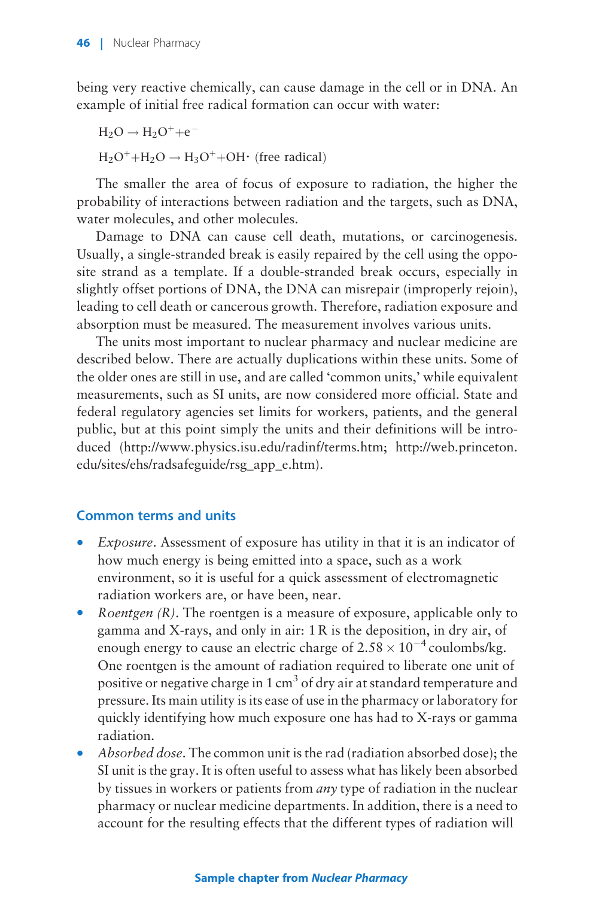being very reactive chemically, can cause damage in the cell or in DNA. An example of initial free radical formation can occur with water:

$$
H_2O \rightarrow H_2O^+ + e^-
$$
  

$$
H_2O^+ + H_2O \rightarrow H_3O^+ + OH \cdot \text{ (free radical)}
$$

The smaller the area of focus of exposure to radiation, the higher the probability of interactions between radiation and the targets, such as DNA, water molecules, and other molecules.

Damage to DNA can cause cell death, mutations, or carcinogenesis. Usually, a single-stranded break is easily repaired by the cell using the opposite strand as a template. If a double-stranded break occurs, especially in slightly offset portions of DNA, the DNA can misrepair (improperly rejoin), leading to cell death or cancerous growth. Therefore, radiation exposure and absorption must be measured. The measurement involves various units.

The units most important to nuclear pharmacy and nuclear medicine are described below. There are actually duplications within these units. Some of the older ones are still in use, and are called 'common units,' while equivalent measurements, such as SI units, are now considered more official. State and federal regulatory agencies set limits for workers, patients, and the general public, but at this point simply the units and their definitions will be introduced (http://www.physics.isu.edu/radinf/terms.htm; http://web.princeton. edu/sites/ehs/radsafeguide/rsg\_app\_e.htm).

# Common terms and units

- $\bullet$  Exposure. Assessment of exposure has utility in that it is an indicator of how much energy is being emitted into a space, such as a work environment, so it is useful for a quick assessment of electromagnetic radiation workers are, or have been, near.
- Roentgen  $(R)$ . The roentgen is a measure of exposure, applicable only to gamma and X-rays, and only in air: 1 R is the deposition, in dry air, of enough energy to cause an electric charge of  $2.58 \times 10^{-4}$  coulombs/kg. One roentgen is the amount of radiation required to liberate one unit of positive or negative charge in 1 cm<sup>3</sup> of dry air at standard temperature and pressure. Its main utility is its ease of use in the pharmacy or laboratory for quickly identifying how much exposure one has had to X-rays or gamma radiation.
- Absorbed dose. The common unit is the rad (radiation absorbed dose); the SI unit is the gray. It is often useful to assess what has likely been absorbed by tissues in workers or patients from *any* type of radiation in the nuclear pharmacy or nuclear medicine departments. In addition, there is a need to account for the resulting effects that the different types of radiation will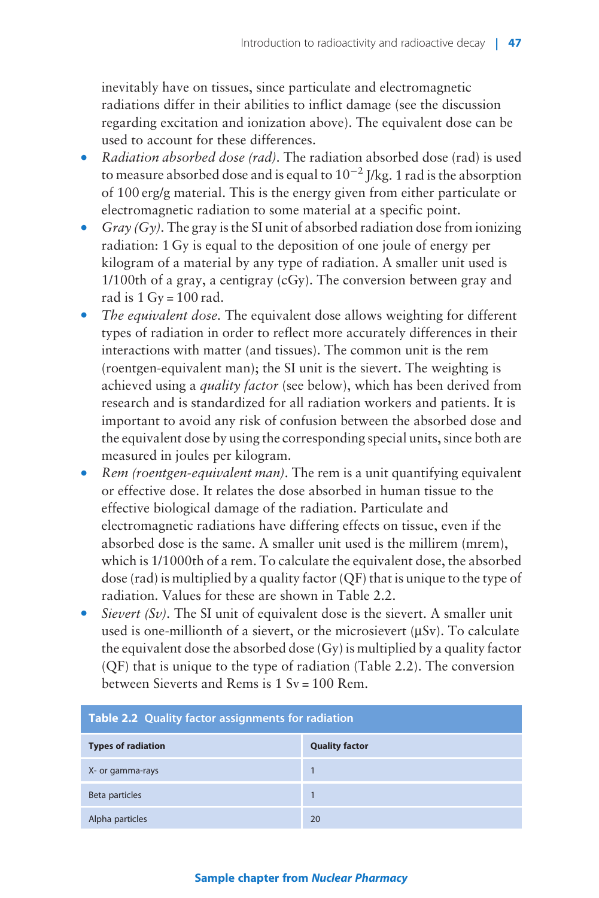<span id="page-34-0"></span>inevitably have on tissues, since particulate and electromagnetic radiations differ in their abilities to inflict damage (see the discussion regarding excitation and ionization above). The equivalent dose can be used to account for these differences.

- Radiation absorbed dose (rad). The radiation absorbed dose (rad) is used to measure absorbed dose and is equal to  $10^{-2}$  J/kg. 1 rad is the absorption of 100 erg/g material. This is the energy given from either particulate or electromagnetic radiation to some material at a specific point.
- Gray  $(Gy)$ . The gray is the SI unit of absorbed radiation dose from ionizing radiation: 1 Gy is equal to the deposition of one joule of energy per kilogram of a material by any type of radiation. A smaller unit used is  $1/100$ th of a gray, a centigray (cGy). The conversion between gray and rad is  $1 \text{ Gy} = 100 \text{ rad.}$
- The equivalent dose. The equivalent dose allows weighting for different types of radiation in order to reflect more accurately differences in their interactions with matter (and tissues). The common unit is the rem (roentgen-equivalent man); the SI unit is the sievert. The weighting is achieved using a *quality factor* (see below), which has been derived from research and is standardized for all radiation workers and patients. It is important to avoid any risk of confusion between the absorbed dose and the equivalent dose by using the corresponding special units, since both are measured in joules per kilogram.
- Rem (roentgen-equivalent man). The rem is a unit quantifying equivalent or effective dose. It relates the dose absorbed in human tissue to the effective biological damage of the radiation. Particulate and electromagnetic radiations have differing effects on tissue, even if the absorbed dose is the same. A smaller unit used is the millirem (mrem), which is 1/1000th of a rem. To calculate the equivalent dose, the absorbed dose (rad) is multiplied by a quality factor (QF) that is unique to the type of radiation. Values for these are shown in Table 2.2.
- Sievert (Sv). The SI unit of equivalent dose is the sievert. A smaller unit used is one-millionth of a sievert, or the microsievert (mSv). To calculate the equivalent dose the absorbed dose (Gy) is multiplied by a quality factor (QF) that is unique to the type of radiation (Table 2.2). The conversion between Sieverts and Rems is 1 Sv = 100 Rem.

| <b>Table 2.2 Quality factor assignments for radiation</b> |                       |  |
|-----------------------------------------------------------|-----------------------|--|
| <b>Types of radiation</b>                                 | <b>Quality factor</b> |  |
| X- or gamma-rays                                          |                       |  |
| Beta particles                                            |                       |  |
| Alpha particles                                           | 20                    |  |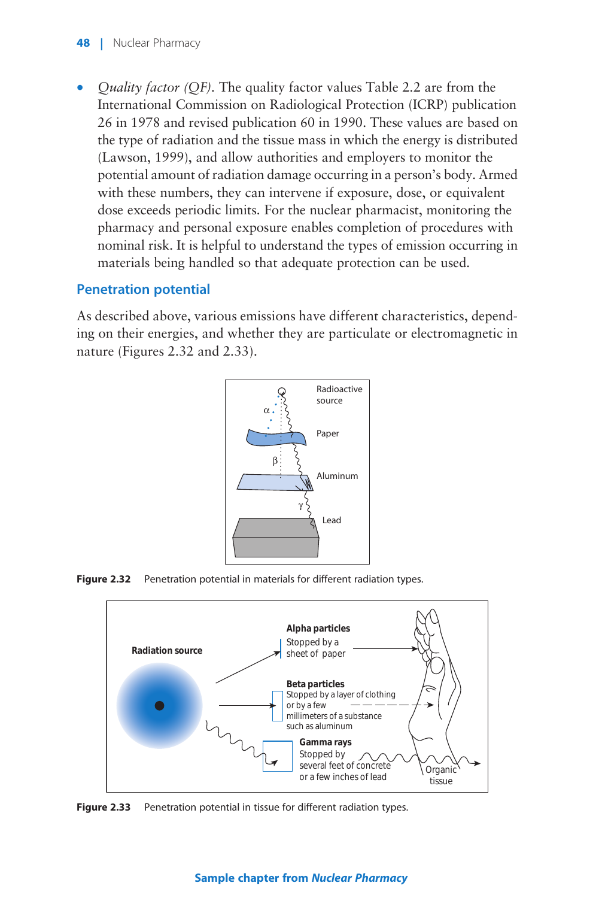• *Quality factor (QF)*. The quality factor values [Table 2.2](#page-34-0) are from the International Commission on Radiological Protection (ICRP) publication 26 in 1978 and revised publication 60 in 1990. These values are based on the type of radiation and the tissue mass in which the energy is distributed [\(Lawson, 1999](#page-39-0)), and allow authorities and employers to monitor the potential amount of radiation damage occurring in a person's body. Armed with these numbers, they can intervene if exposure, dose, or equivalent dose exceeds periodic limits. For the nuclear pharmacist, monitoring the pharmacy and personal exposure enables completion of procedures with nominal risk. It is helpful to understand the types of emission occurring in materials being handled so that adequate protection can be used.

# Penetration potential

As described above, various emissions have different characteristics, depending on their energies, and whether they are particulate or electromagnetic in nature (Figures 2.32 and 2.33).



Figure 2.32 Penetration potential in materials for different radiation types.



Figure 2.33 Penetration potential in tissue for different radiation types.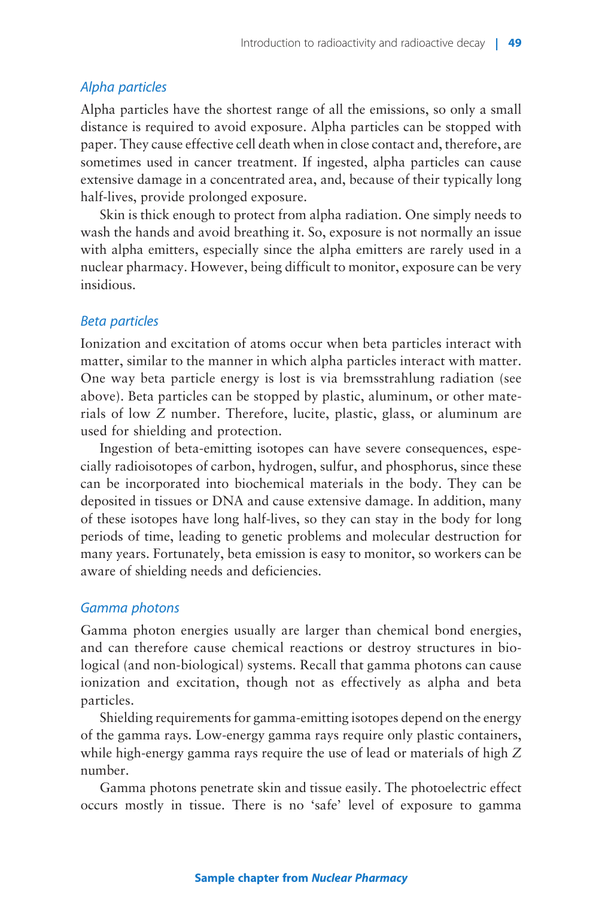# Alpha particles

Alpha particles have the shortest range of all the emissions, so only a small distance is required to avoid exposure. Alpha particles can be stopped with paper. They cause effective cell death when in close contact and, therefore, are sometimes used in cancer treatment. If ingested, alpha particles can cause extensive damage in a concentrated area, and, because of their typically long half-lives, provide prolonged exposure.

Skin is thick enough to protect from alpha radiation. One simply needs to wash the hands and avoid breathing it. So, exposure is not normally an issue with alpha emitters, especially since the alpha emitters are rarely used in a nuclear pharmacy. However, being difficult to monitor, exposure can be very insidious.

# Beta particles

Ionization and excitation of atoms occur when beta particles interact with matter, similar to the manner in which alpha particles interact with matter. One way beta particle energy is lost is via bremsstrahlung radiation (see above). Beta particles can be stopped by plastic, aluminum, or other materials of low Z number. Therefore, lucite, plastic, glass, or aluminum are used for shielding and protection.

Ingestion of beta-emitting isotopes can have severe consequences, especially radioisotopes of carbon, hydrogen, sulfur, and phosphorus, since these can be incorporated into biochemical materials in the body. They can be deposited in tissues or DNA and cause extensive damage. In addition, many of these isotopes have long half-lives, so they can stay in the body for long periods of time, leading to genetic problems and molecular destruction for many years. Fortunately, beta emission is easy to monitor, so workers can be aware of shielding needs and deficiencies.

#### Gamma photons

Gamma photon energies usually are larger than chemical bond energies, and can therefore cause chemical reactions or destroy structures in biological (and non-biological) systems. Recall that gamma photons can cause ionization and excitation, though not as effectively as alpha and beta particles.

Shielding requirements for gamma-emitting isotopes depend on the energy of the gamma rays. Low-energy gamma rays require only plastic containers, while high-energy gamma rays require the use of lead or materials of high Z number.

Gamma photons penetrate skin and tissue easily. The photoelectric effect occurs mostly in tissue. There is no 'safe' level of exposure to gamma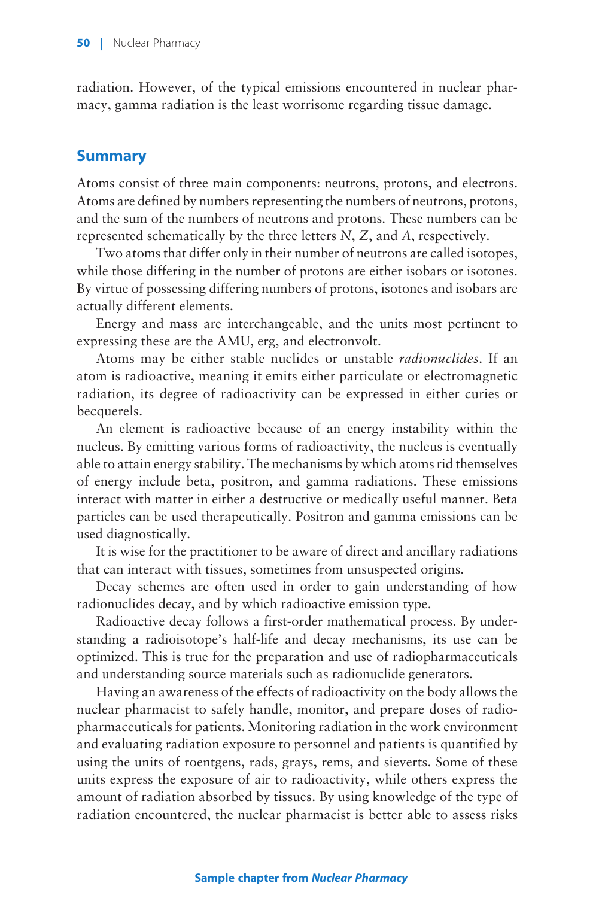radiation. However, of the typical emissions encountered in nuclear pharmacy, gamma radiation is the least worrisome regarding tissue damage.

# Summary

Atoms consist of three main components: neutrons, protons, and electrons. Atoms are defined by numbers representing the numbers of neutrons, protons, and the sum of the numbers of neutrons and protons. These numbers can be represented schematically by the three letters N, Z, and A, respectively.

Two atoms that differ only in their number of neutrons are called isotopes, while those differing in the number of protons are either isobars or isotones. By virtue of possessing differing numbers of protons, isotones and isobars are actually different elements.

Energy and mass are interchangeable, and the units most pertinent to expressing these are the AMU, erg, and electronvolt.

Atoms may be either stable nuclides or unstable radionuclides. If an atom is radioactive, meaning it emits either particulate or electromagnetic radiation, its degree of radioactivity can be expressed in either curies or becquerels.

An element is radioactive because of an energy instability within the nucleus. By emitting various forms of radioactivity, the nucleus is eventually able to attain energy stability. The mechanisms by which atoms rid themselves of energy include beta, positron, and gamma radiations. These emissions interact with matter in either a destructive or medically useful manner. Beta particles can be used therapeutically. Positron and gamma emissions can be used diagnostically.

It is wise for the practitioner to be aware of direct and ancillary radiations that can interact with tissues, sometimes from unsuspected origins.

Decay schemes are often used in order to gain understanding of how radionuclides decay, and by which radioactive emission type.

Radioactive decay follows a first-order mathematical process. By understanding a radioisotope's half-life and decay mechanisms, its use can be optimized. This is true for the preparation and use of radiopharmaceuticals and understanding source materials such as radionuclide generators.

Having an awareness of the effects of radioactivity on the body allows the nuclear pharmacist to safely handle, monitor, and prepare doses of radiopharmaceuticals for patients. Monitoring radiation in the work environment and evaluating radiation exposure to personnel and patients is quantified by using the units of roentgens, rads, grays, rems, and sieverts. Some of these units express the exposure of air to radioactivity, while others express the amount of radiation absorbed by tissues. By using knowledge of the type of radiation encountered, the nuclear pharmacist is better able to assess risks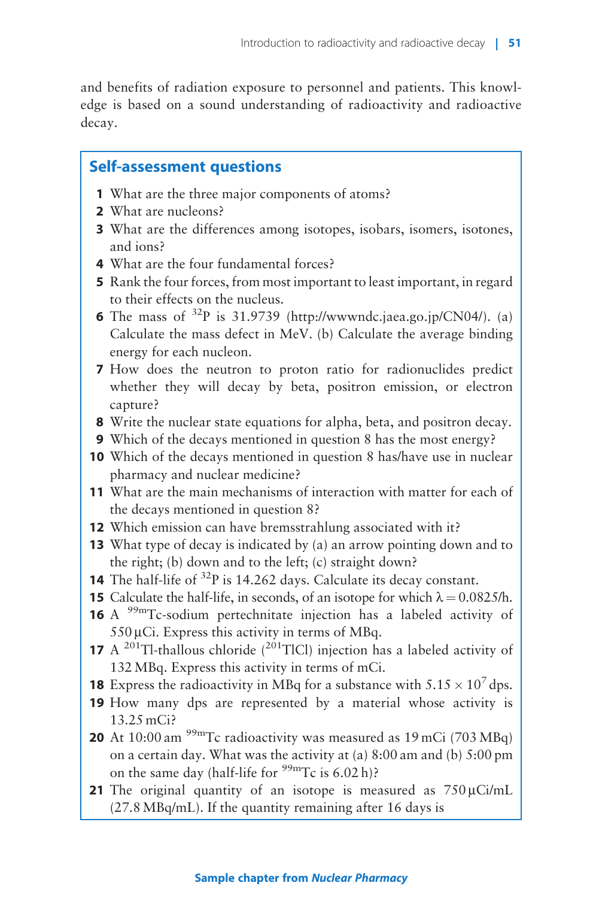and benefits of radiation exposure to personnel and patients. This knowledge is based on a sound understanding of radioactivity and radioactive decay.

# Self-assessment questions

- 1 What are the three major components of atoms?
- 2 What are nucleons?
- 3 What are the differences among isotopes, isobars, isomers, isotones, and ions?
- 4 What are the four fundamental forces?
- 5 Rank the four forces, from most important to least important, in regard to their effects on the nucleus.
- 6 The mass of  $^{32}P$  is 31.9739 (http://wwwndc.jaea.go.jp/CN04/). (a) Calculate the mass defect in MeV. (b) Calculate the average binding energy for each nucleon.
- 7 How does the neutron to proton ratio for radionuclides predict whether they will decay by beta, positron emission, or electron capture?
- 8 Write the nuclear state equations for alpha, beta, and positron decay.
- 9 Which of the decays mentioned in question 8 has the most energy?
- 10 Which of the decays mentioned in question 8 has/have use in nuclear pharmacy and nuclear medicine?
- 11 What are the main mechanisms of interaction with matter for each of the decays mentioned in question 8?
- 12 Which emission can have bremsstrahlung associated with it?
- 13 What type of decay is indicated by (a) an arrow pointing down and to the right; (b) down and to the left; (c) straight down?
- 14 The half-life of <sup>32</sup>P is 14.262 days. Calculate its decay constant.
- **15** Calculate the half-life, in seconds, of an isotope for which  $\lambda = 0.0825/h$ .
- 16 A 99mTc-sodium pertechnitate injection has a labeled activity of  $550 \mu$ Ci. Express this activity in terms of MBq.
- **17** A <sup>201</sup>Tl-thallous chloride  $(^{201}TIC)$  injection has a labeled activity of 132 MBq. Express this activity in terms of mCi.
- **18** Express the radioactivity in MBq for a substance with  $5.15 \times 10^7$  dps.
- 19 How many dps are represented by a material whose activity is 13.25 mCi?
- **20** At 10:00 am  $^{99m}$ Tc radioactivity was measured as 19 mCi (703 MBq) on a certain day. What was the activity at (a) 8:00 am and (b) 5:00 pm on the same day (half-life for  $^{99m}$ Tc is 6.02 h)?
- 21 The original quantity of an isotope is measured as  $750 \mu \text{Ci/mL}$ (27.8 MBq/mL). If the quantity remaining after 16 days is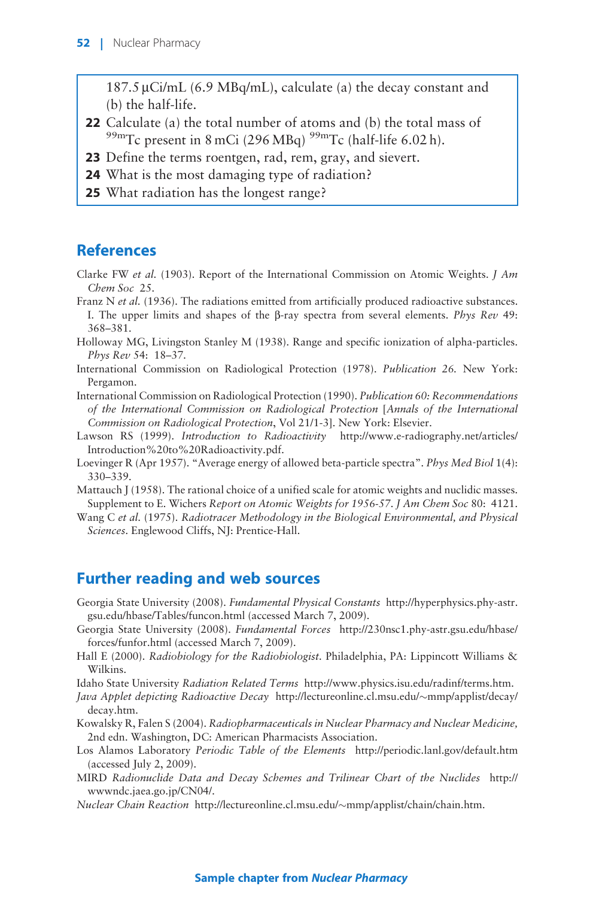<span id="page-39-0"></span> $187.5 \,\mu\text{Ci/mL}$  (6.9 MBq/mL), calculate (a) the decay constant and (b) the half-life.

- 22 Calculate (a) the total number of atoms and (b) the total mass of  $^{99m}$ Tc present in 8 mCi (296 MBq)<sup>99m</sup>Tc (half-life 6.02 h).
- 23 Define the terms roentgen, rad, rem, gray, and sievert.
- 24 What is the most damaging type of radiation?
- 25 What radiation has the longest range?

# References

- Clarke FW et al. (1903). Report of the International Commission on Atomic Weights. J Am Chem Soc 25.
- Franz N et al. (1936). The radiations emitted from artificially produced radioactive substances. I. The upper limits and shapes of the  $\beta$ -ray spectra from several elements. Phys Rev 49: 368–381.
- Holloway MG, Livingston Stanley M (1938). Range and specific ionization of alpha-particles. Phys Rev 54: 18–37.
- International Commission on Radiological Protection (1978). Publication 26. New York: Pergamon.
- International Commission on Radiological Protection (1990). Publication 60: Recommendations of the International Commission on Radiological Protection [Annals of the International Commission on Radiological Protection, Vol 21/1-3]. New York: Elsevier.
- Lawson RS (1999). Introduction to Radioactivity http://www.e-radiography.net/articles/ Introduction%20to%20Radioactivity.pdf.
- Loevinger R (Apr 1957). "Average energy of allowed beta-particle spectra". Phys Med Biol 1(4): 330–339.
- Mattauch J (1958). The rational choice of a unified scale for atomic weights and nuclidic masses. Supplement to E. Wichers Report on Atomic Weights for 1956-57. J Am Chem Soc 80: 4121.
- Wang C et al. (1975). Radiotracer Methodology in the Biological Environmental, and Physical Sciences. Englewood Cliffs, NJ: Prentice-Hall.

# Further reading and web sources

- Georgia State University (2008). Fundamental Physical Constants http://hyperphysics.phy-astr. gsu.edu/hbase/Tables/funcon.html (accessed March 7, 2009).
- Georgia State University (2008). Fundamental Forces http://230nsc1.phy-astr.gsu.edu/hbase/ forces/funfor.html (accessed March 7, 2009).
- Hall E (2000). Radiobiology for the Radiobiologist. Philadelphia, PA: Lippincott Williams & Wilkins.

Idaho State University Radiation Related Terms http://www.physics.isu.edu/radinf/terms.htm.

- Java Applet depicting Radioactive Decay http://lectureonline.cl.msu.edu/~mmp/applist/decay/ decay.htm.
- Kowalsky R, Falen S (2004). Radiopharmaceuticals in Nuclear Pharmacy and Nuclear Medicine, 2nd edn. Washington, DC: American Pharmacists Association.
- Los Alamos Laboratory Periodic Table of the Elements http://periodic.lanl.gov/default.htm (accessed July 2, 2009).
- MIRD Radionuclide Data and Decay Schemes and Trilinear Chart of the Nuclides http:// wwwndc.jaea.go.jp/CN04/.
- Nuclear Chain Reaction http://lectureonline.cl.msu.edu/~mmp/applist/chain/chain.htm.